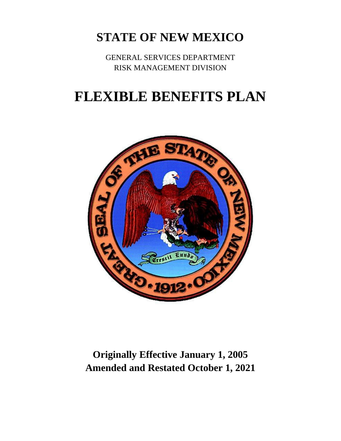# **STATE OF NEW MEXICO**

GENERAL SERVICES DEPARTMENT RISK MANAGEMENT DIVISION

# **FLEXIBLE BENEFITS PLAN**



**Originally Effective January 1, 2005 Amended and Restated October 1, 2021**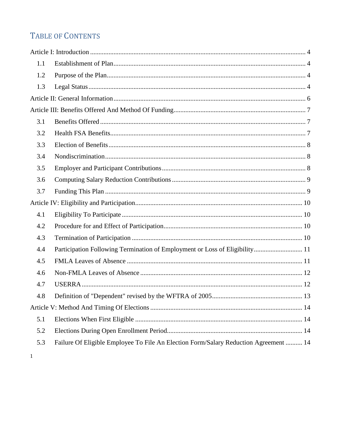# TABLE OF CONTENTS

| 1.1 |                                                                                      |  |
|-----|--------------------------------------------------------------------------------------|--|
| 1.2 |                                                                                      |  |
| 1.3 |                                                                                      |  |
|     |                                                                                      |  |
|     |                                                                                      |  |
| 3.1 |                                                                                      |  |
| 3.2 |                                                                                      |  |
| 3.3 |                                                                                      |  |
| 3.4 |                                                                                      |  |
| 3.5 |                                                                                      |  |
| 3.6 |                                                                                      |  |
| 3.7 |                                                                                      |  |
|     |                                                                                      |  |
| 4.1 |                                                                                      |  |
| 4.2 |                                                                                      |  |
| 4.3 |                                                                                      |  |
| 4.4 | Participation Following Termination of Employment or Loss of Eligibility 11          |  |
| 4.5 |                                                                                      |  |
| 4.6 |                                                                                      |  |
| 4.7 |                                                                                      |  |
| 4.8 |                                                                                      |  |
|     |                                                                                      |  |
| 5.1 |                                                                                      |  |
| 5.2 |                                                                                      |  |
| 5.3 | Failure Of Eligible Employee To File An Election Form/Salary Reduction Agreement  14 |  |
|     |                                                                                      |  |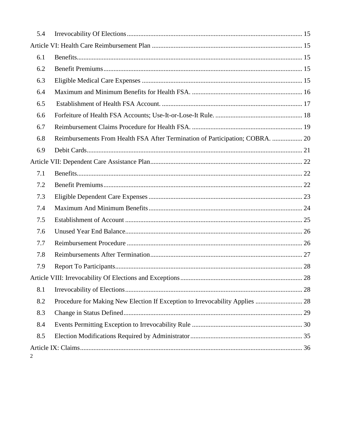| 5.4 |                                                                               |  |  |
|-----|-------------------------------------------------------------------------------|--|--|
|     |                                                                               |  |  |
| 6.1 |                                                                               |  |  |
| 6.2 |                                                                               |  |  |
| 6.3 |                                                                               |  |  |
| 6.4 |                                                                               |  |  |
| 6.5 |                                                                               |  |  |
| 6.6 |                                                                               |  |  |
| 6.7 |                                                                               |  |  |
| 6.8 | Reimbursements From Health FSA After Termination of Participation; COBRA.  20 |  |  |
| 6.9 |                                                                               |  |  |
|     |                                                                               |  |  |
| 7.1 |                                                                               |  |  |
| 7.2 |                                                                               |  |  |
| 7.3 |                                                                               |  |  |
| 7.4 |                                                                               |  |  |
| 7.5 |                                                                               |  |  |
| 7.6 |                                                                               |  |  |
| 7.7 |                                                                               |  |  |
| 7.8 |                                                                               |  |  |
| 7.9 |                                                                               |  |  |
|     |                                                                               |  |  |
| 8.1 |                                                                               |  |  |
| 8.2 | Procedure for Making New Election If Exception to Irrevocability Applies  28  |  |  |
| 8.3 |                                                                               |  |  |
| 8.4 |                                                                               |  |  |
| 8.5 |                                                                               |  |  |
| 2   |                                                                               |  |  |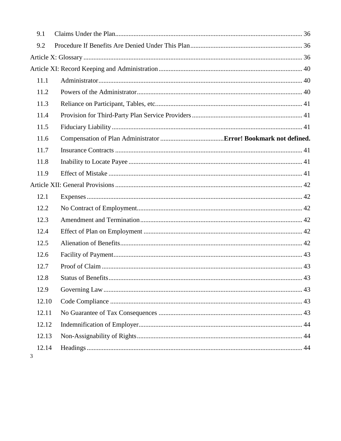| 9.1        |  |  |  |  |
|------------|--|--|--|--|
| 9.2        |  |  |  |  |
|            |  |  |  |  |
|            |  |  |  |  |
| 11.1       |  |  |  |  |
| 11.2       |  |  |  |  |
| 11.3       |  |  |  |  |
| 11.4       |  |  |  |  |
| 11.5       |  |  |  |  |
| 11.6       |  |  |  |  |
| 11.7       |  |  |  |  |
| 11.8       |  |  |  |  |
| 11.9       |  |  |  |  |
|            |  |  |  |  |
| 12.1       |  |  |  |  |
| 12.2       |  |  |  |  |
| 12.3       |  |  |  |  |
| 12.4       |  |  |  |  |
| 12.5       |  |  |  |  |
| 12.6       |  |  |  |  |
| 12.7       |  |  |  |  |
| 12.8       |  |  |  |  |
| 12.9       |  |  |  |  |
| 12.10      |  |  |  |  |
| 12.11      |  |  |  |  |
| 12.12      |  |  |  |  |
| 12.13      |  |  |  |  |
| 12.14<br>3 |  |  |  |  |
|            |  |  |  |  |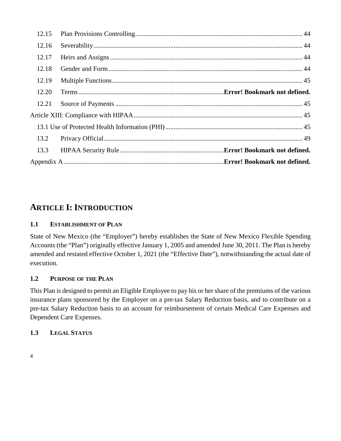| 12.15 |  |  |
|-------|--|--|
| 12.16 |  |  |
| 12.17 |  |  |
| 12.18 |  |  |
| 12.19 |  |  |
| 12.20 |  |  |
| 12.21 |  |  |
|       |  |  |
|       |  |  |
| 13.2  |  |  |
| 13.3  |  |  |
|       |  |  |

### <span id="page-4-0"></span>**ARTICLE I: INTRODUCTION**

#### <span id="page-4-1"></span>**1.1 ESTABLISHMENT OF PLAN**

State of New Mexico (the "Employer") hereby establishes the State of New Mexico Flexible Spending Accounts (the "Plan") originally effective January 1, 2005 and amended June 30, 2011. The Plan is hereby amended and restated effective October 1, 2021 (the "Effective Date"), notwithstanding the actual date of execution.

#### <span id="page-4-2"></span>**1.2 PURPOSE OF THE PLAN**

This Plan is designed to permit an Eligible Employee to pay his or her share of the premiums of the various insurance plans sponsored by the Employer on a pre-tax Salary Reduction basis, and to contribute on a pre-tax Salary Reduction basis to an account for reimbursement of certain Medical Care Expenses and Dependent Care Expenses.

#### <span id="page-4-3"></span>**1.3 LEGAL STATUS**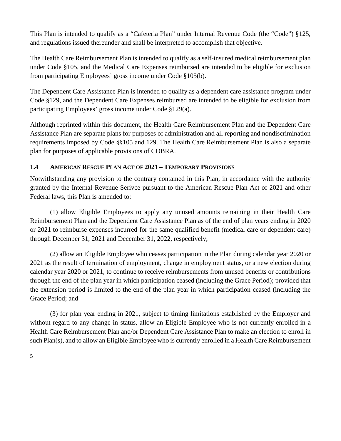This Plan is intended to qualify as a "Cafeteria Plan" under Internal Revenue Code (the "Code") §125, and regulations issued thereunder and shall be interpreted to accomplish that objective.

The Health Care Reimbursement Plan is intended to qualify as a self-insured medical reimbursement plan under Code §105, and the Medical Care Expenses reimbursed are intended to be eligible for exclusion from participating Employees' gross income under Code §105(b).

The Dependent Care Assistance Plan is intended to qualify as a dependent care assistance program under Code §129, and the Dependent Care Expenses reimbursed are intended to be eligible for exclusion from participating Employees' gross income under Code §129(a).

Although reprinted within this document, the Health Care Reimbursement Plan and the Dependent Care Assistance Plan are separate plans for purposes of administration and all reporting and nondiscrimination requirements imposed by Code §§105 and 129. The Health Care Reimbursement Plan is also a separate plan for purposes of applicable provisions of COBRA.

#### **1.4 AMERICAN RESCUE PLAN ACT OF 2021 – TEMPORARY PROVISIONS**

Notwithstanding any provision to the contrary contained in this Plan, in accordance with the authority granted by the Internal Revenue Serivce pursuant to the American Rescue Plan Act of 2021 and other Federal laws, this Plan is amended to:

(1) allow Eligible Employees to apply any unused amounts remaining in their Health Care Reimbursement Plan and the Dependent Care Assistance Plan as of the end of plan years ending in 2020 or 2021 to reimburse expenses incurred for the same qualified benefit (medical care or dependent care) through December 31, 2021 and December 31, 2022, respectively;

(2) allow an Eligible Employee who ceases participation in the Plan during calendar year 2020 or 2021 as the result of termination of employment, change in employment status, or a new election during calendar year 2020 or 2021, to continue to receive reimbursements from unused benefits or contributions through the end of the plan year in which participation ceased (including the Grace Period); provided that the extension period is limited to the end of the plan year in which participation ceased (including the Grace Period; and

(3) for plan year ending in 2021, subject to timing limitations established by the Employer and without regard to any change in status, allow an Eligible Employee who is not currently enrolled in a Health Care Reimbursement Plan and/or Dependent Care Assistance Plan to make an election to enroll in such Plan(s), and to allow an Eligible Employee who is currently enrolled in a Health Care Reimbursement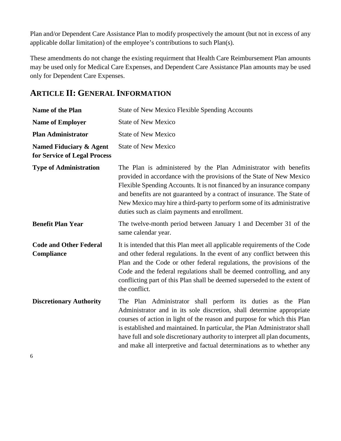Plan and/or Dependent Care Assistance Plan to modify prospectively the amount (but not in excess of any applicable dollar limitation) of the employee's contributions to such Plan(s).

These amendments do not change the existing requirment that Health Care Reimbursement Plan amounts may be used only for Medical Care Expenses, and Dependent Care Assistance Plan amounts may be used only for Dependent Care Expenses.

# <span id="page-6-0"></span>**ARTICLE II: GENERAL INFORMATION**

| Name of the Plan                                        | <b>State of New Mexico Flexible Spending Accounts</b>                                                                                                                                                                                                                                                                                                                                                                                                   |  |
|---------------------------------------------------------|---------------------------------------------------------------------------------------------------------------------------------------------------------------------------------------------------------------------------------------------------------------------------------------------------------------------------------------------------------------------------------------------------------------------------------------------------------|--|
| <b>Name of Employer</b>                                 | <b>State of New Mexico</b>                                                                                                                                                                                                                                                                                                                                                                                                                              |  |
| <b>Plan Administrator</b>                               | <b>State of New Mexico</b>                                                                                                                                                                                                                                                                                                                                                                                                                              |  |
| Named Fiduciary & Agent<br>for Service of Legal Process | <b>State of New Mexico</b>                                                                                                                                                                                                                                                                                                                                                                                                                              |  |
| <b>Type of Administration</b>                           | The Plan is administered by the Plan Administrator with benefits<br>provided in accordance with the provisions of the State of New Mexico<br>Flexible Spending Accounts. It is not financed by an insurance company<br>and benefits are not guaranteed by a contract of insurance. The State of<br>New Mexico may hire a third-party to perform some of its administrative<br>duties such as claim payments and enrollment.                             |  |
| <b>Benefit Plan Year</b>                                | The twelve-month period between January 1 and December 31 of the<br>same calendar year.                                                                                                                                                                                                                                                                                                                                                                 |  |
| <b>Code and Other Federal</b><br>Compliance             | It is intended that this Plan meet all applicable requirements of the Code<br>and other federal regulations. In the event of any conflict between this<br>Plan and the Code or other federal regulations, the provisions of the<br>Code and the federal regulations shall be deemed controlling, and any<br>conflicting part of this Plan shall be deemed superseded to the extent of<br>the conflict.                                                  |  |
| <b>Discretionary Authority</b>                          | The Plan Administrator shall perform its duties as the Plan<br>Administrator and in its sole discretion, shall determine appropriate<br>courses of action in light of the reason and purpose for which this Plan<br>is established and maintained. In particular, the Plan Administrator shall<br>have full and sole discretionary authority to interpret all plan documents,<br>and make all interpretive and factual determinations as to whether any |  |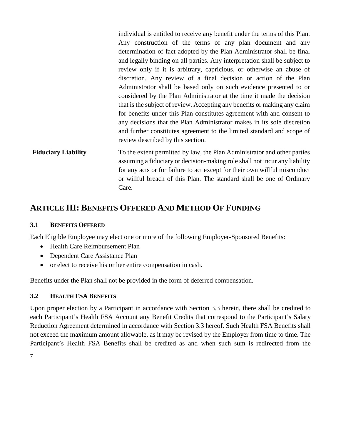individual is entitled to receive any benefit under the terms of this Plan. Any construction of the terms of any plan document and any determination of fact adopted by the Plan Administrator shall be final and legally binding on all parties. Any interpretation shall be subject to review only if it is arbitrary, capricious, or otherwise an abuse of discretion. Any review of a final decision or action of the Plan Administrator shall be based only on such evidence presented to or considered by the Plan Administrator at the time it made the decision that is the subject of review. Accepting any benefits or making any claim for benefits under this Plan constitutes agreement with and consent to any decisions that the Plan Administrator makes in its sole discretion and further constitutes agreement to the limited standard and scope of review described by this section.

**Fiduciary Liability** To the extent permitted by law, the Plan Administrator and other parties assuming a fiduciary or decision-making role shall not incur any liability for any acts or for failure to act except for their own willful misconduct or willful breach of this Plan. The standard shall be one of Ordinary Care.

### <span id="page-7-0"></span>**ARTICLE III: BENEFITS OFFERED AND METHOD OF FUNDING**

#### <span id="page-7-1"></span>**3.1 BENEFITS OFFERED**

Each Eligible Employee may elect one or more of the following Employer-Sponsored Benefits:

- Health Care Reimbursement Plan
- Dependent Care Assistance Plan
- or elect to receive his or her entire compensation in cash.

Benefits under the Plan shall not be provided in the form of deferred compensation.

#### <span id="page-7-2"></span>**3.2 HEALTH FSA BENEFITS**

Upon proper election by a Participant in accordance with Section 3.3 herein, there shall be credited to each Participant's Health FSA Account any Benefit Credits that correspond to the Participant's Salary Reduction Agreement determined in accordance with Section 3.3 hereof. Such Health FSA Benefits shall not exceed the maximum amount allowable, as it may be revised by the Employer from time to time. The Participant's Health FSA Benefits shall be credited as and when such sum is redirected from the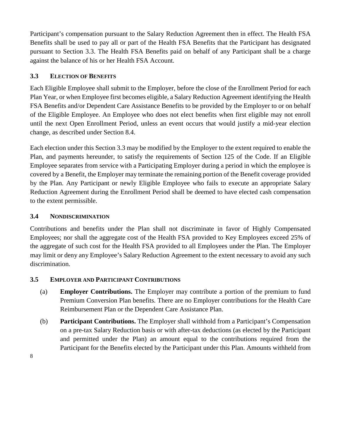Participant's compensation pursuant to the Salary Reduction Agreement then in effect. The Health FSA Benefits shall be used to pay all or part of the Health FSA Benefits that the Participant has designated pursuant to Section 3.3. The Health FSA Benefits paid on behalf of any Participant shall be a charge against the balance of his or her Health FSA Account.

#### <span id="page-8-0"></span>**3.3 ELECTION OF BENEFITS**

Each Eligible Employee shall submit to the Employer, before the close of the Enrollment Period for each Plan Year, or when Employee first becomes eligible, a Salary Reduction Agreement identifying the Health FSA Benefits and/or Dependent Care Assistance Benefits to be provided by the Employer to or on behalf of the Eligible Employee. An Employee who does not elect benefits when first eligible may not enroll until the next Open Enrollment Period, unless an event occurs that would justify a mid-year election change, as described under Section 8.4.

Each election under this Section 3.3 may be modified by the Employer to the extent required to enable the Plan, and payments hereunder, to satisfy the requirements of Section 125 of the Code. If an Eligible Employee separates from service with a Participating Employer during a period in which the employee is covered by a Benefit, the Employer may terminate the remaining portion of the Benefit coverage provided by the Plan. Any Participant or newly Eligible Employee who fails to execute an appropriate Salary Reduction Agreement during the Enrollment Period shall be deemed to have elected cash compensation to the extent permissible.

#### <span id="page-8-1"></span>**3.4 NONDISCRIMINATION**

Contributions and benefits under the Plan shall not discriminate in favor of Highly Compensated Employees; nor shall the aggregate cost of the Health FSA provided to Key Employees exceed 25% of the aggregate of such cost for the Health FSA provided to all Employees under the Plan. The Employer may limit or deny any Employee's Salary Reduction Agreement to the extent necessary to avoid any such discrimination.

#### <span id="page-8-2"></span>**3.5 EMPLOYER AND PARTICIPANT CONTRIBUTIONS**

- (a) **Employer Contributions.** The Employer may contribute a portion of the premium to fund Premium Conversion Plan benefits. There are no Employer contributions for the Health Care Reimbursement Plan or the Dependent Care Assistance Plan.
- (b) **Participant Contributions.** The Employer shall withhold from a Participant's Compensation on a pre-tax Salary Reduction basis or with after-tax deductions (as elected by the Participant and permitted under the Plan) an amount equal to the contributions required from the Participant for the Benefits elected by the Participant under this Plan. Amounts withheld from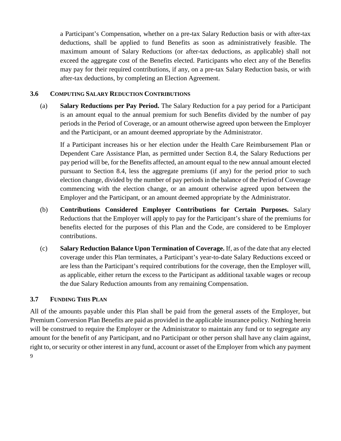a Participant's Compensation, whether on a pre-tax Salary Reduction basis or with after-tax deductions, shall be applied to fund Benefits as soon as administratively feasible. The maximum amount of Salary Reductions (or after-tax deductions, as applicable) shall not exceed the aggregate cost of the Benefits elected. Participants who elect any of the Benefits may pay for their required contributions, if any, on a pre-tax Salary Reduction basis, or with after-tax deductions, by completing an Election Agreement.

#### <span id="page-9-0"></span>**3.6 COMPUTING SALARY REDUCTION CONTRIBUTIONS**

(a) **Salary Reductions per Pay Period.** The Salary Reduction for a pay period for a Participant is an amount equal to the annual premium for such Benefits divided by the number of pay periods in the Period of Coverage, or an amount otherwise agreed upon between the Employer and the Participant, or an amount deemed appropriate by the Administrator.

If a Participant increases his or her election under the Health Care Reimbursement Plan or Dependent Care Assistance Plan, as permitted under Section 8.4, the Salary Reductions per pay period will be, for the Benefits affected, an amount equal to the new annual amount elected pursuant to Section 8.4, less the aggregate premiums (if any) for the period prior to such election change, divided by the number of pay periods in the balance of the Period of Coverage commencing with the election change, or an amount otherwise agreed upon between the Employer and the Participant, or an amount deemed appropriate by the Administrator.

- (b) **Contributions Considered Employer Contributions for Certain Purposes.** Salary Reductions that the Employer will apply to pay for the Participant's share of the premiums for benefits elected for the purposes of this Plan and the Code, are considered to be Employer contributions.
- (c) **Salary Reduction Balance Upon Termination of Coverage.** If, as of the date that any elected coverage under this Plan terminates, a Participant's year-to-date Salary Reductions exceed or are less than the Participant's required contributions for the coverage, then the Employer will, as applicable, either return the excess to the Participant as additional taxable wages or recoup the due Salary Reduction amounts from any remaining Compensation.

#### <span id="page-9-1"></span>**3.7 FUNDING THIS PLAN**

9 All of the amounts payable under this Plan shall be paid from the general assets of the Employer, but Premium Conversion Plan Benefits are paid as provided in the applicable insurance policy. Nothing herein will be construed to require the Employer or the Administrator to maintain any fund or to segregate any amount for the benefit of any Participant, and no Participant or other person shall have any claim against, right to, or security or other interest in any fund, account or asset of the Employer from which any payment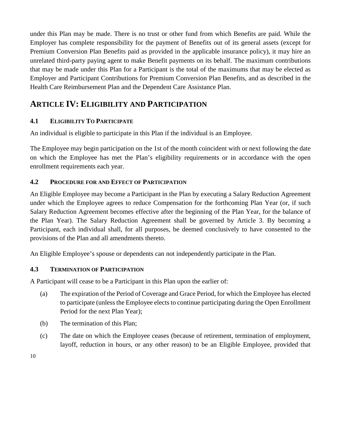under this Plan may be made. There is no trust or other fund from which Benefits are paid. While the Employer has complete responsibility for the payment of Benefits out of its general assets (except for Premium Conversion Plan Benefits paid as provided in the applicable insurance policy), it may hire an unrelated third-party paying agent to make Benefit payments on its behalf. The maximum contributions that may be made under this Plan for a Participant is the total of the maximums that may be elected as Employer and Participant Contributions for Premium Conversion Plan Benefits, and as described in the Health Care Reimbursement Plan and the Dependent Care Assistance Plan.

# <span id="page-10-0"></span>**ARTICLE IV: ELIGIBILITY AND PARTICIPATION**

### <span id="page-10-1"></span>**4.1 ELIGIBILITY TO PARTICIPATE**

An individual is eligible to participate in this Plan if the individual is an Employee.

The Employee may begin participation on the 1st of the month coincident with or next following the date on which the Employee has met the Plan's eligibility requirements or in accordance with the open enrollment requirements each year.

#### <span id="page-10-2"></span>**4.2 PROCEDURE FOR AND EFFECT OF PARTICIPATION**

An Eligible Employee may become a Participant in the Plan by executing a Salary Reduction Agreement under which the Employee agrees to reduce Compensation for the forthcoming Plan Year (or, if such Salary Reduction Agreement becomes effective after the beginning of the Plan Year, for the balance of the Plan Year). The Salary Reduction Agreement shall be governed by Article 3. By becoming a Participant, each individual shall, for all purposes, be deemed conclusively to have consented to the provisions of the Plan and all amendments thereto.

An Eligible Employee's spouse or dependents can not independently participate in the Plan.

#### <span id="page-10-3"></span>**4.3 TERMINATION OF PARTICIPATION**

A Participant will cease to be a Participant in this Plan upon the earlier of:

- (a) The expiration of the Period of Coverage and Grace Period, for which the Employee has elected to participate (unless the Employee elects to continue participating during the Open Enrollment Period for the next Plan Year);
- (b) The termination of this Plan;
- (c) The date on which the Employee ceases (because of retirement, termination of employment, layoff, reduction in hours, or any other reason) to be an Eligible Employee, provided that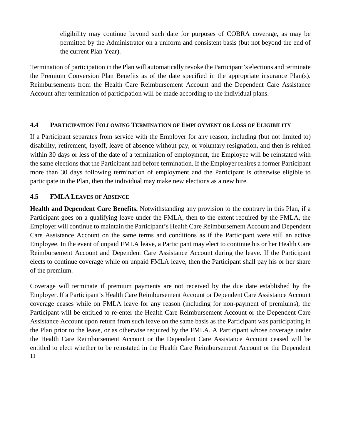eligibility may continue beyond such date for purposes of COBRA coverage, as may be permitted by the Administrator on a uniform and consistent basis (but not beyond the end of the current Plan Year).

Termination of participation in the Plan will automatically revoke the Participant's elections and terminate the Premium Conversion Plan Benefits as of the date specified in the appropriate insurance Plan(s). Reimbursements from the Health Care Reimbursement Account and the Dependent Care Assistance Account after termination of participation will be made according to the individual plans.

#### <span id="page-11-0"></span>**4.4 PARTICIPATION FOLLOWING TERMINATION OF EMPLOYMENT OR LOSS OF ELIGIBILITY**

If a Participant separates from service with the Employer for any reason, including (but not limited to) disability, retirement, layoff, leave of absence without pay, or voluntary resignation, and then is rehired within 30 days or less of the date of a termination of employment, the Employee will be reinstated with the same elections that the Participant had before termination. If the Employer rehires a former Participant more than 30 days following termination of employment and the Participant is otherwise eligible to participate in the Plan, then the individual may make new elections as a new hire.

#### <span id="page-11-1"></span>**4.5 FMLA LEAVES OF ABSENCE**

**Health and Dependent Care Benefits.** Notwithstanding any provision to the contrary in this Plan, if a Participant goes on a qualifying leave under the FMLA, then to the extent required by the FMLA, the Employer will continue to maintain the Participant's Health Care Reimbursement Account and Dependent Care Assistance Account on the same terms and conditions as if the Participant were still an active Employee. In the event of unpaid FMLA leave, a Participant may elect to continue his or her Health Care Reimbursement Account and Dependent Care Assistance Account during the leave. If the Participant elects to continue coverage while on unpaid FMLA leave, then the Participant shall pay his or her share of the premium.

11 Coverage will terminate if premium payments are not received by the due date established by the Employer. If a Participant's Health Care Reimbursement Account or Dependent Care Assistance Account coverage ceases while on FMLA leave for any reason (including for non-payment of premiums), the Participant will be entitled to re-enter the Health Care Reimbursement Account or the Dependent Care Assistance Account upon return from such leave on the same basis as the Participant was participating in the Plan prior to the leave, or as otherwise required by the FMLA. A Participant whose coverage under the Health Care Reimbursement Account or the Dependent Care Assistance Account ceased will be entitled to elect whether to be reinstated in the Health Care Reimbursement Account or the Dependent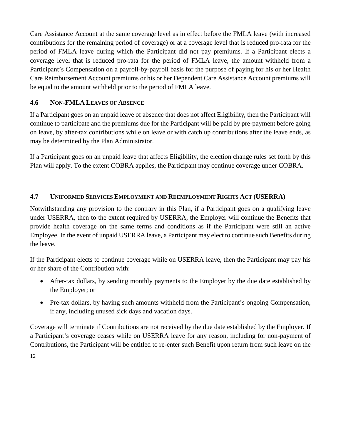Care Assistance Account at the same coverage level as in effect before the FMLA leave (with increased contributions for the remaining period of coverage) or at a coverage level that is reduced pro-rata for the period of FMLA leave during which the Participant did not pay premiums. If a Participant elects a coverage level that is reduced pro-rata for the period of FMLA leave, the amount withheld from a Participant's Compensation on a payroll-by-payroll basis for the purpose of paying for his or her Health Care Reimbursement Account premiums or his or her Dependent Care Assistance Account premiums will be equal to the amount withheld prior to the period of FMLA leave.

#### <span id="page-12-0"></span>**4.6 NON-FMLA LEAVES OF ABSENCE**

If a Participant goes on an unpaid leave of absence that does not affect Eligibility, then the Participant will continue to participate and the premiums due for the Participant will be paid by pre-payment before going on leave, by after-tax contributions while on leave or with catch up contributions after the leave ends, as may be determined by the Plan Administrator.

If a Participant goes on an unpaid leave that affects Eligibility, the election change rules set forth by this Plan will apply. To the extent COBRA applies, the Participant may continue coverage under COBRA.

#### <span id="page-12-1"></span>**4.7 UNIFORMED SERVICES EMPLOYMENT AND REEMPLOYMENT RIGHTS ACT (USERRA)**

Notwithstanding any provision to the contrary in this Plan, if a Participant goes on a qualifying leave under USERRA, then to the extent required by USERRA, the Employer will continue the Benefits that provide health coverage on the same terms and conditions as if the Participant were still an active Employee. In the event of unpaid USERRA leave, a Participant may elect to continue such Benefits during the leave.

If the Participant elects to continue coverage while on USERRA leave, then the Participant may pay his or her share of the Contribution with:

- After-tax dollars, by sending monthly payments to the Employer by the due date established by the Employer; or
- Pre-tax dollars, by having such amounts withheld from the Participant's ongoing Compensation, if any, including unused sick days and vacation days.

Coverage will terminate if Contributions are not received by the due date established by the Employer. If a Participant's coverage ceases while on USERRA leave for any reason, including for non-payment of Contributions, the Participant will be entitled to re-enter such Benefit upon return from such leave on the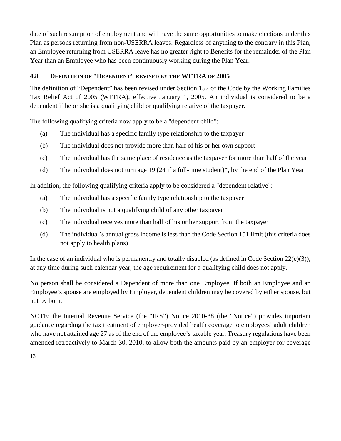date of such resumption of employment and will have the same opportunities to make elections under this Plan as persons returning from non-USERRA leaves. Regardless of anything to the contrary in this Plan, an Employee returning from USERRA leave has no greater right to Benefits for the remainder of the Plan Year than an Employee who has been continuously working during the Plan Year.

#### <span id="page-13-0"></span>**4.8 DEFINITION OF "DEPENDENT" REVISED BY THE WFTRA OF 2005**

The definition of "Dependent" has been revised under Section 152 of the Code by the Working Families Tax Relief Act of 2005 (WFTRA), effective January 1, 2005. An individual is considered to be a dependent if he or she is a qualifying child or qualifying relative of the taxpayer.

The following qualifying criteria now apply to be a "dependent child":

- (a) The individual has a specific family type relationship to the taxpayer
- (b) The individual does not provide more than half of his or her own support
- (c) The individual has the same place of residence as the taxpayer for more than half of the year
- (d) The individual does not turn age 19 (24 if a full-time student)\*, by the end of the Plan Year

In addition, the following qualifying criteria apply to be considered a "dependent relative":

- (a) The individual has a specific family type relationship to the taxpayer
- (b) The individual is not a qualifying child of any other taxpayer
- (c) The individual receives more than half of his or her support from the taxpayer
- (d) The individual's annual gross income is less than the Code Section 151 limit (this criteria does not apply to health plans)

In the case of an individual who is permanently and totally disabled (as defined in Code Section  $22(e)(3)$ ), at any time during such calendar year, the age requirement for a qualifying child does not apply.

No person shall be considered a Dependent of more than one Employee. If both an Employee and an Employee's spouse are employed by Employer, dependent children may be covered by either spouse, but not by both.

NOTE: the Internal Revenue Service (the "IRS") Notice 2010-38 (the "Notice") provides important guidance regarding the tax treatment of employer-provided health coverage to employees' adult children who have not attained age 27 as of the end of the employee's taxable year. Treasury regulations have been amended retroactively to March 30, 2010, to allow both the amounts paid by an employer for coverage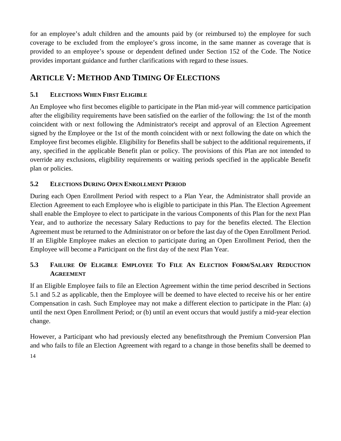for an employee's adult children and the amounts paid by (or reimbursed to) the employee for such coverage to be excluded from the employee's gross income, in the same manner as coverage that is provided to an employee's spouse or dependent defined under Section 152 of the Code. The Notice provides important guidance and further clarifications with regard to these issues.

# <span id="page-14-0"></span>**ARTICLE V: METHOD AND TIMING OF ELECTIONS**

### <span id="page-14-1"></span>**5.1 ELECTIONS WHEN FIRST ELIGIBLE**

An Employee who first becomes eligible to participate in the Plan mid-year will commence participation after the eligibility requirements have been satisfied on the earlier of the following: the 1st of the month coincident with or next following the Administrator's receipt and approval of an Election Agreement signed by the Employee or the 1st of the month coincident with or next following the date on which the Employee first becomes eligible. Eligibility for Benefits shall be subject to the additional requirements, if any, specified in the applicable Benefit plan or policy. The provisions of this Plan are not intended to override any exclusions, eligibility requirements or waiting periods specified in the applicable Benefit plan or policies.

### <span id="page-14-2"></span>**5.2 ELECTIONS DURING OPEN ENROLLMENT PERIOD**

During each Open Enrollment Period with respect to a Plan Year, the Administrator shall provide an Election Agreement to each Employee who is eligible to participate in this Plan. The Election Agreement shall enable the Employee to elect to participate in the various Components of this Plan for the next Plan Year, and to authorize the necessary Salary Reductions to pay for the benefits elected. The Election Agreement must be returned to the Administrator on or before the last day of the Open Enrollment Period. If an Eligible Employee makes an election to participate during an Open Enrollment Period, then the Employee will become a Participant on the first day of the next Plan Year.

### <span id="page-14-3"></span>**5.3 FAILURE OF ELIGIBLE EMPLOYEE TO FILE AN ELECTION FORM/SALARY REDUCTION AGREEMENT**

If an Eligible Employee fails to file an Election Agreement within the time period described in Sections 5.1 and 5.2 as applicable, then the Employee will be deemed to have elected to receive his or her entire Compensation in cash. Such Employee may not make a different election to participate in the Plan: (a) until the next Open Enrollment Period; or (b) until an event occurs that would justify a mid-year election change.

14 However, a Participant who had previously elected any benefitsthrough the Premium Conversion Plan and who fails to file an Election Agreement with regard to a change in those benefits shall be deemed to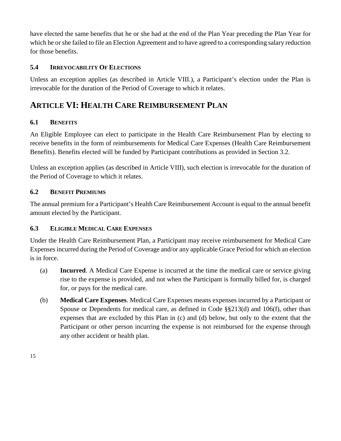have elected the same benefits that he or she had at the end of the Plan Year preceding the Plan Year for which he or she failed to file an Election Agreement and to have agreed to a corresponding salary reduction for those benefits.

#### <span id="page-15-0"></span>**5.4 IRREVOCABILITY OF ELECTIONS**

Unless an exception applies (as described in Article VIII.), a Participant's election under the Plan is irrevocable for the duration of the Period of Coverage to which it relates.

# <span id="page-15-1"></span>**ARTICLE VI: HEALTH CARE REIMBURSEMENT PLAN**

#### <span id="page-15-2"></span>**6.1 BENEFITS**

An Eligible Employee can elect to participate in the Health Care Reimbursement Plan by electing to receive benefits in the form of reimbursements for Medical Care Expenses (Health Care Reimbursement Benefits). Benefits elected will be funded by Participant contributions as provided in Section 3.2.

Unless an exception applies (as described in Article VIII), such election is irrevocable for the duration of the Period of Coverage to which it relates.

#### <span id="page-15-3"></span>**6.2 BENEFIT PREMIUMS**

The annual premium for a Participant's Health Care Reimbursement Account is equal to the annual benefit amount elected by the Participant.

#### <span id="page-15-4"></span>**6.3 ELIGIBLE MEDICAL CARE EXPENSES**

Under the Health Care Reimbursement Plan, a Participant may receive reimbursement for Medical Care Expenses incurred during the Period of Coverage and/or any applicable Grace Period for which an election is in force.

- (a) **Incurred**. A Medical Care Expense is incurred at the time the medical care or service giving rise to the expense is provided, and not when the Participant is formally billed for, is charged for, or pays for the medical care.
- (b) **Medical Care Expenses**. Medical Care Expenses means expenses incurred by a Participant or Spouse or Dependents for medical care, as defined in Code §§213(d) and 106(f), other than expenses that are excluded by this Plan in (c) and (d) below, but only to the extent that the Participant or other person incurring the expense is not reimbursed for the expense through any other accident or health plan.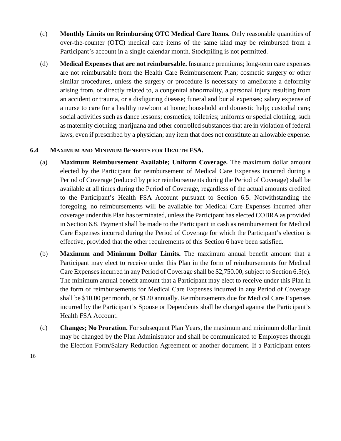- (c) **Monthly Limits on Reimbursing OTC Medical Care Items.** Only reasonable quantities of over-the-counter (OTC) medical care items of the same kind may be reimbursed from a Participant's account in a single calendar month. Stockpiling is not permitted.
- (d) **Medical Expenses that are not reimbursable.** Insurance premiums; long-term care expenses are not reimbursable from the Health Care Reimbursement Plan; cosmetic surgery or other similar procedures, unless the surgery or procedure is necessary to ameliorate a deformity arising from, or directly related to, a congenital abnormality, a personal injury resulting from an accident or trauma, or a disfiguring disease; funeral and burial expenses; salary expense of a nurse to care for a healthy newborn at home; household and domestic help; custodial care; social activities such as dance lessons; cosmetics; toiletries; uniforms or special clothing, such as maternity clothing; marijuana and other controlled substances that are in violation of federal laws, even if prescribed by a physician; any item that does not constitute an allowable expense.

#### <span id="page-16-0"></span>**6.4 MAXIMUM AND MINIMUM BENEFITS FOR HEALTH FSA.**

- (a) **Maximum Reimbursement Available; Uniform Coverage.** The maximum dollar amount elected by the Participant for reimbursement of Medical Care Expenses incurred during a Period of Coverage (reduced by prior reimbursements during the Period of Coverage) shall be available at all times during the Period of Coverage, regardless of the actual amounts credited to the Participant's Health FSA Account pursuant to Section 6.5. Notwithstanding the foregoing, no reimbursements will be available for Medical Care Expenses incurred after coverage under this Plan has terminated, unless the Participant has elected COBRA as provided in Section 6.8. Payment shall be made to the Participant in cash as reimbursement for Medical Care Expenses incurred during the Period of Coverage for which the Participant's election is effective, provided that the other requirements of this Section 6 have been satisfied.
- (b) **Maximum and Minimum Dollar Limits.** The maximum annual benefit amount that a Participant may elect to receive under this Plan in the form of reimbursements for Medical Care Expenses incurred in any Period of Coverage shall be \$2,750.00, subject to Section 6.5(c). The minimum annual benefit amount that a Participant may elect to receive under this Plan in the form of reimbursements for Medical Care Expenses incurred in any Period of Coverage shall be \$10.00 per month, or \$120 annually. Reimbursements due for Medical Care Expenses incurred by the Participant's Spouse or Dependents shall be charged against the Participant's Health FSA Account.
- (c) **Changes; No Proration.** For subsequent Plan Years, the maximum and minimum dollar limit may be changed by the Plan Administrator and shall be communicated to Employees through the Election Form/Salary Reduction Agreement or another document. If a Participant enters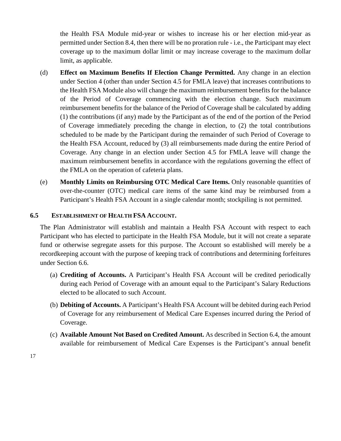the Health FSA Module mid-year or wishes to increase his or her election mid-year as permitted under Section 8.4, then there will be no proration rule - i.e., the Participant may elect coverage up to the maximum dollar limit or may increase coverage to the maximum dollar limit, as applicable.

- (d) **Effect on Maximum Benefits If Election Change Permitted.** Any change in an election under Section 4 (other than under Section 4.5 for FMLA leave) that increases contributions to the Health FSA Module also will change the maximum reimbursement benefits for the balance of the Period of Coverage commencing with the election change. Such maximum reimbursement benefits for the balance of the Period of Coverage shall be calculated by adding (1) the contributions (if any) made by the Participant as of the end of the portion of the Period of Coverage immediately preceding the change in election, to (2) the total contributions scheduled to be made by the Participant during the remainder of such Period of Coverage to the Health FSA Account, reduced by (3) all reimbursements made during the entire Period of Coverage. Any change in an election under Section 4.5 for FMLA leave will change the maximum reimbursement benefits in accordance with the regulations governing the effect of the FMLA on the operation of cafeteria plans.
- (e) **Monthly Limits on Reimbursing OTC Medical Care Items.** Only reasonable quantities of over-the-counter (OTC) medical care items of the same kind may be reimbursed from a Participant's Health FSA Account in a single calendar month; stockpiling is not permitted.

#### <span id="page-17-0"></span>**6.5 ESTABLISHMENT OF HEALTH FSA ACCOUNT.**

The Plan Administrator will establish and maintain a Health FSA Account with respect to each Participant who has elected to participate in the Health FSA Module, but it will not create a separate fund or otherwise segregate assets for this purpose. The Account so established will merely be a recordkeeping account with the purpose of keeping track of contributions and determining forfeitures under Section 6.6.

- (a) **Crediting of Accounts.** A Participant's Health FSA Account will be credited periodically during each Period of Coverage with an amount equal to the Participant's Salary Reductions elected to be allocated to such Account.
- (b) **Debiting of Accounts.** A Participant's Health FSA Account will be debited during each Period of Coverage for any reimbursement of Medical Care Expenses incurred during the Period of Coverage.
- (c) **Available Amount Not Based on Credited Amount.** As described in Section 6.4, the amount available for reimbursement of Medical Care Expenses is the Participant's annual benefit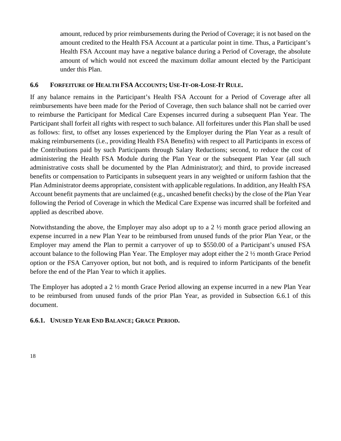amount, reduced by prior reimbursements during the Period of Coverage; it is not based on the amount credited to the Health FSA Account at a particular point in time. Thus, a Participant's Health FSA Account may have a negative balance during a Period of Coverage, the absolute amount of which would not exceed the maximum dollar amount elected by the Participant under this Plan.

#### <span id="page-18-0"></span>**6.6 FORFEITURE OF HEALTH FSA ACCOUNTS; USE-IT-OR-LOSE-IT RULE.**

If any balance remains in the Participant's Health FSA Account for a Period of Coverage after all reimbursements have been made for the Period of Coverage, then such balance shall not be carried over to reimburse the Participant for Medical Care Expenses incurred during a subsequent Plan Year. The Participant shall forfeit all rights with respect to such balance. All forfeitures under this Plan shall be used as follows: first, to offset any losses experienced by the Employer during the Plan Year as a result of making reimbursements (i.e., providing Health FSA Benefits) with respect to all Participants in excess of the Contributions paid by such Participants through Salary Reductions; second, to reduce the cost of administering the Health FSA Module during the Plan Year or the subsequent Plan Year (all such administrative costs shall be documented by the Plan Administrator); and third, to provide increased benefits or compensation to Participants in subsequent years in any weighted or uniform fashion that the Plan Administrator deems appropriate, consistent with applicable regulations. In addition, any Health FSA Account benefit payments that are unclaimed (e.g., uncashed benefit checks) by the close of the Plan Year following the Period of Coverage in which the Medical Care Expense was incurred shall be forfeited and applied as described above.

Notwithstanding the above, the Employer may also adopt up to a  $2\frac{1}{2}$  month grace period allowing an expense incurred in a new Plan Year to be reimbursed from unused funds of the prior Plan Year, or the Employer may amend the Plan to permit a carryover of up to \$550.00 of a Participant's unused FSA account balance to the following Plan Year. The Employer may adopt either the 2 ½ month Grace Period option or the FSA Carryover option, but not both, and is required to inform Participants of the benefit before the end of the Plan Year to which it applies.

The Employer has adopted a 2 ½ month Grace Period allowing an expense incurred in a new Plan Year to be reimbursed from unused funds of the prior Plan Year, as provided in Subsection 6.6.1 of this document.

#### **6.6.1. UNUSED YEAR END BALANCE; GRACE PERIOD.**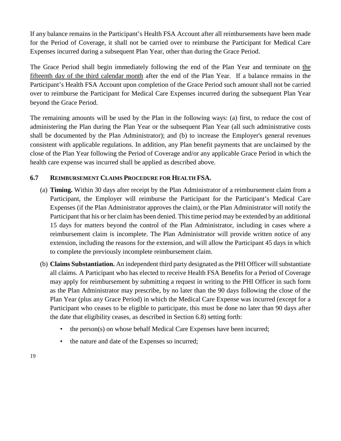If any balance remains in the Participant's Health FSA Account after all reimbursements have been made for the Period of Coverage, it shall not be carried over to reimburse the Participant for Medical Care Expenses incurred during a subsequent Plan Year, other than during the Grace Period.

The Grace Period shall begin immediately following the end of the Plan Year and terminate on the fifteenth day of the third calendar month after the end of the Plan Year. If a balance remains in the Participant's Health FSA Account upon completion of the Grace Period such amount shall not be carried over to reimburse the Participant for Medical Care Expenses incurred during the subsequent Plan Year beyond the Grace Period.

The remaining amounts will be used by the Plan in the following ways: (a) first, to reduce the cost of administering the Plan during the Plan Year or the subsequent Plan Year (all such administrative costs shall be documented by the Plan Administrator); and (b) to increase the Employer's general revenues consistent with applicable regulations. In addition, any Plan benefit payments that are unclaimed by the close of the Plan Year following the Period of Coverage and/or any applicable Grace Period in which the health care expense was incurred shall be applied as described above.

#### <span id="page-19-0"></span>**6.7 REIMBURSEMENT CLAIMS PROCEDURE FOR HEALTH FSA.**

- (a) **Timing.** Within 30 days after receipt by the Plan Administrator of a reimbursement claim from a Participant, the Employer will reimburse the Participant for the Participant's Medical Care Expenses (if the Plan Administrator approves the claim), or the Plan Administrator will notify the Participant that his or her claim has been denied. This time period may be extended by an additional 15 days for matters beyond the control of the Plan Administrator, including in cases where a reimbursement claim is incomplete. The Plan Administrator will provide written notice of any extension, including the reasons for the extension, and will allow the Participant 45 days in which to complete the previously incomplete reimbursement claim.
- (b) **Claims Substantiation.** An independent third party designated as the PHI Officer will substantiate all claims. A Participant who has elected to receive Health FSA Benefits for a Period of Coverage may apply for reimbursement by submitting a request in writing to the PHI Officer in such form as the Plan Administrator may prescribe, by no later than the 90 days following the close of the Plan Year (plus any Grace Period) in which the Medical Care Expense was incurred (except for a Participant who ceases to be eligible to participate, this must be done no later than 90 days after the date that eligibility ceases, as described in Section 6.8) setting forth:
	- the person(s) on whose behalf Medical Care Expenses have been incurred;
	- the nature and date of the Expenses so incurred;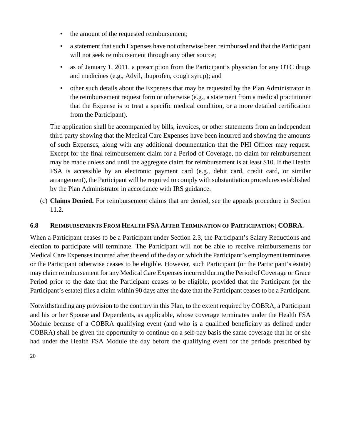- the amount of the requested reimbursement;
- a statement that such Expenses have not otherwise been reimbursed and that the Participant will not seek reimbursement through any other source;
- as of January 1, 2011, a prescription from the Participant's physician for any OTC drugs and medicines (e.g., Advil, ibuprofen, cough syrup); and
- other such details about the Expenses that may be requested by the Plan Administrator in the reimbursement request form or otherwise (e.g., a statement from a medical practitioner that the Expense is to treat a specific medical condition, or a more detailed certification from the Participant).

The application shall be accompanied by bills, invoices, or other statements from an independent third party showing that the Medical Care Expenses have been incurred and showing the amounts of such Expenses, along with any additional documentation that the PHI Officer may request. Except for the final reimbursement claim for a Period of Coverage, no claim for reimbursement may be made unless and until the aggregate claim for reimbursement is at least \$10. If the Health FSA is accessible by an electronic payment card (e.g., debit card, credit card, or similar arrangement), the Participant will be required to comply with substantiation procedures established by the Plan Administrator in accordance with IRS guidance.

(c) **Claims Denied.** For reimbursement claims that are denied, see the appeals procedure in Section 11.2.

#### <span id="page-20-0"></span>**6.8 REIMBURSEMENTS FROM HEALTH FSA AFTER TERMINATION OF PARTICIPATION; COBRA.**

When a Participant ceases to be a Participant under Section 2.3, the Participant's Salary Reductions and election to participate will terminate. The Participant will not be able to receive reimbursements for Medical Care Expenses incurred after the end of the day on which the Participant's employment terminates or the Participant otherwise ceases to be eligible. However, such Participant (or the Participant's estate) may claim reimbursement for any Medical Care Expenses incurred during the Period of Coverage or Grace Period prior to the date that the Participant ceases to be eligible, provided that the Participant (or the Participant's estate) files a claim within 90 days after the date that the Participant ceases to be a Participant.

Notwithstanding any provision to the contrary in this Plan, to the extent required by COBRA, a Participant and his or her Spouse and Dependents, as applicable, whose coverage terminates under the Health FSA Module because of a COBRA qualifying event (and who is a qualified beneficiary as defined under COBRA) shall be given the opportunity to continue on a self-pay basis the same coverage that he or she had under the Health FSA Module the day before the qualifying event for the periods prescribed by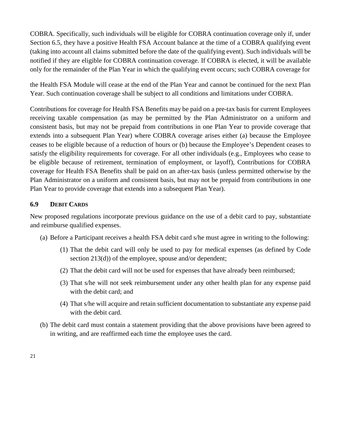COBRA. Specifically, such individuals will be eligible for COBRA continuation coverage only if, under Section 6.5, they have a positive Health FSA Account balance at the time of a COBRA qualifying event (taking into account all claims submitted before the date of the qualifying event). Such individuals will be notified if they are eligible for COBRA continuation coverage. If COBRA is elected, it will be available only for the remainder of the Plan Year in which the qualifying event occurs; such COBRA coverage for

the Health FSA Module will cease at the end of the Plan Year and cannot be continued for the next Plan Year. Such continuation coverage shall be subject to all conditions and limitations under COBRA.

Contributions for coverage for Health FSA Benefits may be paid on a pre-tax basis for current Employees receiving taxable compensation (as may be permitted by the Plan Administrator on a uniform and consistent basis, but may not be prepaid from contributions in one Plan Year to provide coverage that extends into a subsequent Plan Year) where COBRA coverage arises either (a) because the Employee ceases to be eligible because of a reduction of hours or (b) because the Employee's Dependent ceases to satisfy the eligibility requirements for coverage. For all other individuals (e.g., Employees who cease to be eligible because of retirement, termination of employment, or layoff), Contributions for COBRA coverage for Health FSA Benefits shall be paid on an after-tax basis (unless permitted otherwise by the Plan Administrator on a uniform and consistent basis, but may not be prepaid from contributions in one Plan Year to provide coverage that extends into a subsequent Plan Year).

#### <span id="page-21-0"></span>**6.9 DEBIT CARDS**

New proposed regulations incorporate previous guidance on the use of a debit card to pay, substantiate and reimburse qualified expenses.

- (a) Before a Participant receives a health FSA debit card s/he must agree in writing to the following:
	- (1) That the debit card will only be used to pay for medical expenses (as defined by Code section 213(d)) of the employee, spouse and/or dependent;
	- (2) That the debit card will not be used for expenses that have already been reimbursed;
	- (3) That s/he will not seek reimbursement under any other health plan for any expense paid with the debit card; and
	- (4) That s/he will acquire and retain sufficient documentation to substantiate any expense paid with the debit card.
- (b) The debit card must contain a statement providing that the above provisions have been agreed to in writing, and are reaffirmed each time the employee uses the card.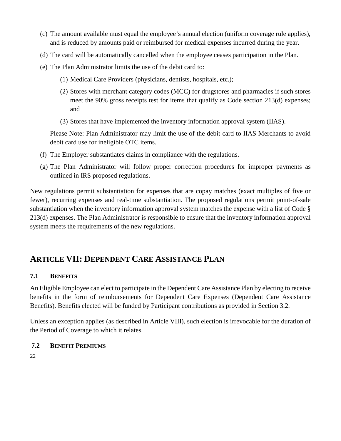- (c) The amount available must equal the employee's annual election (uniform coverage rule applies), and is reduced by amounts paid or reimbursed for medical expenses incurred during the year.
- (d) The card will be automatically cancelled when the employee ceases participation in the Plan.
- (e) The Plan Administrator limits the use of the debit card to:
	- (1) Medical Care Providers (physicians, dentists, hospitals, etc.);
	- (2) Stores with merchant category codes (MCC) for drugstores and pharmacies if such stores meet the 90% gross receipts test for items that qualify as Code section 213(d) expenses; and
	- (3) Stores that have implemented the inventory information approval system (IIAS).

Please Note: Plan Administrator may limit the use of the debit card to IIAS Merchants to avoid debit card use for ineligible OTC items.

- (f) The Employer substantiates claims in compliance with the regulations.
- (g) The Plan Administrator will follow proper correction procedures for improper payments as outlined in IRS proposed regulations.

New regulations permit substantiation for expenses that are copay matches (exact multiples of five or fewer), recurring expenses and real-time substantiation. The proposed regulations permit point-of-sale substantiation when the inventory information approval system matches the expense with a list of Code § 213(d) expenses. The Plan Administrator is responsible to ensure that the inventory information approval system meets the requirements of the new regulations.

# <span id="page-22-0"></span>**ARTICLE VII: DEPENDENT CARE ASSISTANCE PLAN**

#### <span id="page-22-1"></span>**7.1 BENEFITS**

An Eligible Employee can elect to participate in the Dependent Care Assistance Plan by electing to receive benefits in the form of reimbursements for Dependent Care Expenses (Dependent Care Assistance Benefits). Benefits elected will be funded by Participant contributions as provided in Section 3.2.

Unless an exception applies (as described in Article VIII), such election is irrevocable for the duration of the Period of Coverage to which it relates.

#### <span id="page-22-2"></span>**7.2 BENEFIT PREMIUMS**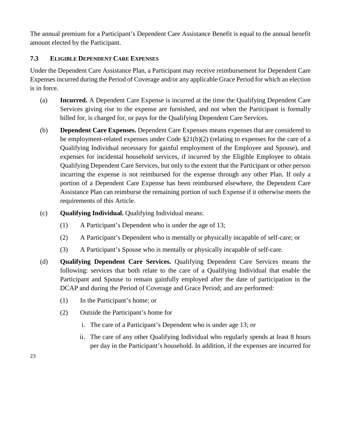The annual premium for a Participant's Dependent Care Assistance Benefit is equal to the annual benefit amount elected by the Participant.

#### <span id="page-23-0"></span>**7.3 ELIGIBLE DEPENDENT CARE EXPENSES**

Under the Dependent Care Assistance Plan, a Participant may receive reimbursement for Dependent Care Expenses incurred during the Period of Coverage and/or any applicable Grace Period for which an election is in force.

- (a) **Incurred.** A Dependent Care Expense is incurred at the time the Qualifying Dependent Care Services giving rise to the expense are furnished, and not when the Participant is formally billed for, is charged for, or pays for the Qualifying Dependent Care Services.
- (b) **Dependent Care Expenses.** Dependent Care Expenses means expenses that are considered to be employment-related expenses under Code §21(b)(2) (relating to expenses for the care of a Qualifying Individual necessary for gainful employment of the Employee and Spouse), and expenses for incidental household services, if incurred by the Eligible Employee to obtain Qualifying Dependent Care Services, but only to the extent that the Participant or other person incurring the expense is not reimbursed for the expense through any other Plan. If only a portion of a Dependent Care Expense has been reimbursed elsewhere, the Dependent Care Assistance Plan can reimburse the remaining portion of such Expense if it otherwise meets the requirements of this Article.
- (c) **Qualifying Individual.** Qualifying Individual means:
	- (1) A Participant's Dependent who is under the age of 13;
	- (2) A Participant's Dependent who is mentally or physically incapable of self-care; or
	- (3) A Participant's Spouse who is mentally or physically incapable of self-care.
- (d) **Qualifying Dependent Care Services.** Qualifying Dependent Care Services means the following: services that both relate to the care of a Qualifying Individual that enable the Participant and Spouse to remain gainfully employed after the date of participation in the DCAP and during the Period of Coverage and Grace Period; and are performed:
	- (1) In the Participant's home; or
	- (2) Outside the Participant's home for
		- i. The care of a Participant's Dependent who is under age 13; or
		- ii. The care of any other Qualifying Individual who regularly spends at least 8 hours per day in the Participant's household. In addition, if the expenses are incurred for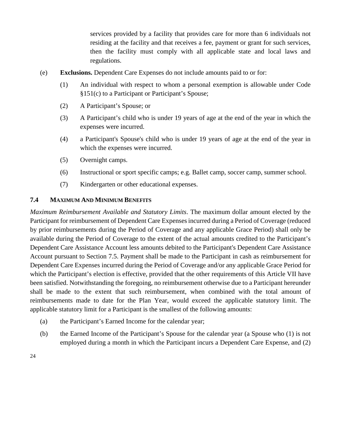services provided by a facility that provides care for more than 6 individuals not residing at the facility and that receives a fee, payment or grant for such services, then the facility must comply with all applicable state and local laws and regulations.

- (e) **Exclusions.** Dependent Care Expenses do not include amounts paid to or for:
	- (1) An individual with respect to whom a personal exemption is allowable under Code §151(c) to a Participant or Participant's Spouse;
	- (2) A Participant's Spouse; or
	- (3) A Participant's child who is under 19 years of age at the end of the year in which the expenses were incurred.
	- (4) a Participant's Spouse's child who is under 19 years of age at the end of the year in which the expenses were incurred.
	- (5) Overnight camps.
	- (6) Instructional or sport specific camps; e.g. Ballet camp, soccer camp, summer school.
	- (7) Kindergarten or other educational expenses.

#### <span id="page-24-0"></span>**7.4 MAXIMUM AND MINIMUM BENEFITS**

*Maximum Reimbursement Available and Statutory Limits*. The maximum dollar amount elected by the Participant for reimbursement of Dependent Care Expenses incurred during a Period of Coverage (reduced by prior reimbursements during the Period of Coverage and any applicable Grace Period) shall only be available during the Period of Coverage to the extent of the actual amounts credited to the Participant's Dependent Care Assistance Account less amounts debited to the Participant's Dependent Care Assistance Account pursuant to Section 7.5. Payment shall be made to the Participant in cash as reimbursement for Dependent Care Expenses incurred during the Period of Coverage and/or any applicable Grace Period for which the Participant's election is effective, provided that the other requirements of this Article VII have been satisfied. Notwithstanding the foregoing, no reimbursement otherwise due to a Participant hereunder shall be made to the extent that such reimbursement, when combined with the total amount of reimbursements made to date for the Plan Year, would exceed the applicable statutory limit. The applicable statutory limit for a Participant is the smallest of the following amounts:

- (a) the Participant's Earned Income for the calendar year;
- (b) the Earned Income of the Participant's Spouse for the calendar year (a Spouse who (1) is not employed during a month in which the Participant incurs a Dependent Care Expense, and (2)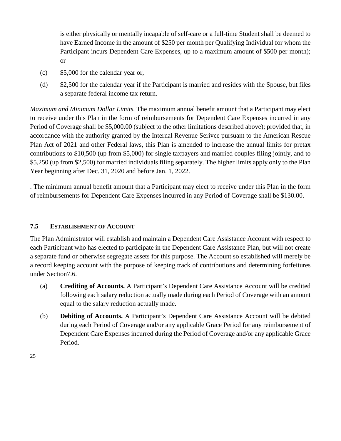is either physically or mentally incapable of self-care or a full-time Student shall be deemed to have Earned Income in the amount of \$250 per month per Qualifying Individual for whom the Participant incurs Dependent Care Expenses, up to a maximum amount of \$500 per month); or

- (c) \$5,000 for the calendar year or,
- (d) \$2,500 for the calendar year if the Participant is married and resides with the Spouse, but files a separate federal income tax return.

*Maximum and Minimum Dollar Limits.* The maximum annual benefit amount that a Participant may elect to receive under this Plan in the form of reimbursements for Dependent Care Expenses incurred in any Period of Coverage shall be \$5,000.00 (subject to the other limitations described above); provided that, in accordance with the authority granted by the Internal Revenue Serivce pursuant to the American Rescue Plan Act of 2021 and other Federal laws, this Plan is amended to increase the annual limits for pretax contributions to \$10,500 (up from \$5,000) for single taxpayers and married couples filing jointly, and to \$5,250 (up from \$2,500) for married individuals filing separately. The higher limits apply only to the Plan Year beginning after Dec. 31, 2020 and before Jan. 1, 2022.

. The minimum annual benefit amount that a Participant may elect to receive under this Plan in the form of reimbursements for Dependent Care Expenses incurred in any Period of Coverage shall be \$130.00.

#### <span id="page-25-0"></span>**7.5 ESTABLISHMENT OF ACCOUNT**

The Plan Administrator will establish and maintain a Dependent Care Assistance Account with respect to each Participant who has elected to participate in the Dependent Care Assistance Plan, but will not create a separate fund or otherwise segregate assets for this purpose. The Account so established will merely be a record keeping account with the purpose of keeping track of contributions and determining forfeitures under Section7.6.

- (a) **Crediting of Accounts.** A Participant's Dependent Care Assistance Account will be credited following each salary reduction actually made during each Period of Coverage with an amount equal to the salary reduction actually made.
- (b) **Debiting of Accounts.** A Participant's Dependent Care Assistance Account will be debited during each Period of Coverage and/or any applicable Grace Period for any reimbursement of Dependent Care Expenses incurred during the Period of Coverage and/or any applicable Grace Period.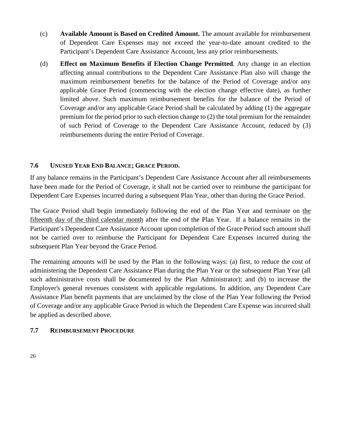- (c) **Available Amount is Based on Credited Amount.** The amount available for reimbursement of Dependent Care Expenses may not exceed the year-to-date amount credited to the Participant's Dependent Care Assistance Account, less any prior reimbursements.
- (d) **Effect on Maximum Benefits if Election Change Permitted***.* Any change in an election affecting annual contributions to the Dependent Care Assistance Plan also will change the maximum reimbursement benefits for the balance of the Period of Coverage and/or any applicable Grace Period (commencing with the election change effective date), as further limited above. Such maximum reimbursement benefits for the balance of the Period of Coverage and/or any applicable Grace Period shall be calculated by adding (1) the aggregate premium for the period prior to such election change to (2) the total premium for the remainder of such Period of Coverage to the Dependent Care Assistance Account, reduced by (3) reimbursements during the entire Period of Coverage.

#### <span id="page-26-0"></span>**7.6 UNUSED YEAR END BALANCE; GRACE PERIOD.**

If any balance remains in the Participant's Dependent Care Assistance Account after all reimbursements have been made for the Period of Coverage, it shall not be carried over to reimburse the participant for Dependent Care Expenses incurred during a subsequent Plan Year, other than during the Grace Period.

The Grace Period shall begin immediately following the end of the Plan Year and terminate on the fifteenth day of the third calendar month after the end of the Plan Year. If a balance remains in the Participant's Dependent Care Assistance Account upon completion of the Grace Period such amount shall not be carried over to reimburse the Participant for Dependent Care Expenses incurred during the subsequent Plan Year beyond the Grace Period.

The remaining amounts will be used by the Plan in the following ways: (a) first, to reduce the cost of administering the Dependent Care Assistance Plan during the Plan Year or the subsequent Plan Year (all such administrative costs shall be documented by the Plan Administrator); and (b) to increase the Employer's general revenues consistent with applicable regulations. In addition, any Dependent Care Assistance Plan benefit payments that are unclaimed by the close of the Plan Year following the Period of Coverage and/or any applicable Grace Period in which the Dependent Care Expense was incurred shall be applied as described above.

#### <span id="page-26-1"></span>**7.7 REIMBURSEMENT PROCEDURE**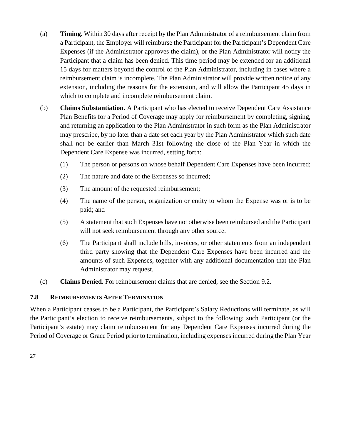- (a) **Timing.** Within 30 days after receipt by the Plan Administrator of a reimbursement claim from a Participant, the Employer will reimburse the Participant for the Participant's Dependent Care Expenses (if the Administrator approves the claim), or the Plan Administrator will notify the Participant that a claim has been denied. This time period may be extended for an additional 15 days for matters beyond the control of the Plan Administrator, including in cases where a reimbursement claim is incomplete. The Plan Administrator will provide written notice of any extension, including the reasons for the extension, and will allow the Participant 45 days in which to complete and incomplete reimbursement claim.
- (b) **Claims Substantiation.** A Participant who has elected to receive Dependent Care Assistance Plan Benefits for a Period of Coverage may apply for reimbursement by completing, signing, and returning an application to the Plan Administrator in such form as the Plan Administrator may prescribe, by no later than a date set each year by the Plan Administrator which such date shall not be earlier than March 31st following the close of the Plan Year in which the Dependent Care Expense was incurred, setting forth:
	- (1) The person or persons on whose behalf Dependent Care Expenses have been incurred;
	- (2) The nature and date of the Expenses so incurred;
	- (3) The amount of the requested reimbursement;
	- (4) The name of the person, organization or entity to whom the Expense was or is to be paid; and
	- (5) A statement that such Expenses have not otherwise been reimbursed and the Participant will not seek reimbursement through any other source.
	- (6) The Participant shall include bills, invoices, or other statements from an independent third party showing that the Dependent Care Expenses have been incurred and the amounts of such Expenses, together with any additional documentation that the Plan Administrator may request.
- (c) **Claims Denied.** For reimbursement claims that are denied, see the Section 9.2.

#### <span id="page-27-0"></span>**7.8 REIMBURSEMENTS AFTER TERMINATION**

When a Participant ceases to be a Participant, the Participant's Salary Reductions will terminate, as will the Participant's election to receive reimbursements, subject to the following: such Participant (or the Participant's estate) may claim reimbursement for any Dependent Care Expenses incurred during the Period of Coverage or Grace Period prior to termination, including expenses incurred during the Plan Year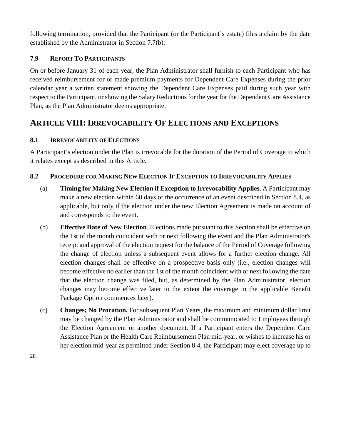following termination, provided that the Participant (or the Participant's estate) files a claim by the date established by the Administrator in Section 7.7(b).

#### <span id="page-28-0"></span>**7.9 REPORT TO PARTICIPANTS**

On or before January 31 of each year, the Plan Administrator shall furnish to each Participant who has received reimbursement for or made premium payments for Dependent Care Expenses during the prior calendar year a written statement showing the Dependent Care Expenses paid during such year with respect to the Participant, or showing the Salary Reductions for the year for the Dependent Care Assistance Plan, as the Plan Administrator deems appropriate.

### <span id="page-28-1"></span>**ARTICLE VIII: IRREVOCABILITY OF ELECTIONS AND EXCEPTIONS**

#### <span id="page-28-2"></span>**8.1 IRREVOCABILITY OF ELECTIONS**

A Participant's election under the Plan is irrevocable for the duration of the Period of Coverage to which it relates except as described in this Article.

#### <span id="page-28-3"></span>**8.2 PROCEDURE FOR MAKING NEW ELECTION IF EXCEPTION TO IRREVOCABILITY APPLIES**

- (a) **Timing for Making New Election if Exception to Irrevocability Applies**. A Participant may make a new election within 60 days of the occurrence of an event described in Section 8.4, as applicable, but only if the election under the new Election Agreement is made on account of and corresponds to the event.
- (b) **Effective Date of New Election**. Elections made pursuant to this Section shall be effective on the 1st of the month coincident with or next following the event and the Plan Administrator's receipt and approval of the election request for the balance of the Period of Coverage following the change of election unless a subsequent event allows for a further election change. All election changes shall be effective on a prospective basis only (i.e., election changes will become effective no earlier than the 1st of the month coincident with or next following the date that the election change was filed, but, as determined by the Plan Administrator, election changes may become effective later to the extent the coverage in the applicable Benefit Package Option commences later).
- (c) **Changes; No Proration.** For subsequent Plan Years, the maximum and minimum dollar limit may be changed by the Plan Administrator and shall be communicated to Employees through the Election Agreement or another document. If a Participant enters the Dependent Care Assistance Plan or the Health Care Reimbursement Plan mid-year, or wishes to increase his or her election mid-year as permitted under Section 8.4, the Participant may elect coverage up to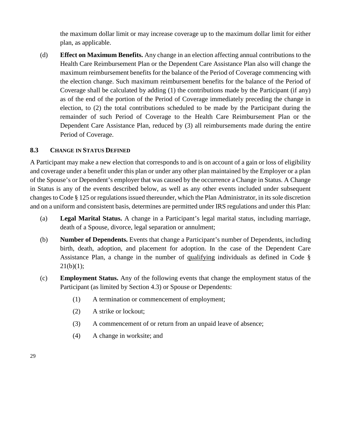the maximum dollar limit or may increase coverage up to the maximum dollar limit for either plan, as applicable.

(d) **Effect on Maximum Benefits.** Any change in an election affecting annual contributions to the Health Care Reimbursement Plan or the Dependent Care Assistance Plan also will change the maximum reimbursement benefits for the balance of the Period of Coverage commencing with the election change. Such maximum reimbursement benefits for the balance of the Period of Coverage shall be calculated by adding (1) the contributions made by the Participant (if any) as of the end of the portion of the Period of Coverage immediately preceding the change in election, to (2) the total contributions scheduled to be made by the Participant during the remainder of such Period of Coverage to the Health Care Reimbursement Plan or the Dependent Care Assistance Plan, reduced by (3) all reimbursements made during the entire Period of Coverage.

#### <span id="page-29-0"></span>**8.3 CHANGE IN STATUS DEFINED**

A Participant may make a new election that corresponds to and is on account of a gain or loss of eligibility and coverage under a benefit under this plan or under any other plan maintained by the Employer or a plan of the Spouse's or Dependent's employer that was caused by the occurrence a Change in Status. A Change in Status is any of the events described below, as well as any other events included under subsequent changes to Code § 125 or regulations issued thereunder, which the Plan Administrator, in its sole discretion and on a uniform and consistent basis, determines are permitted under IRS regulations and under this Plan:

- (a) **Legal Marital Status.** A change in a Participant's legal marital status, including marriage, death of a Spouse, divorce, legal separation or annulment;
- (b) **Number of Dependents.** Events that change a Participant's number of Dependents, including birth, death, adoption, and placement for adoption. In the case of the Dependent Care Assistance Plan, a change in the number of qualifying individuals as defined in Code §  $21(b)(1);$
- (c) **Employment Status.** Any of the following events that change the employment status of the Participant (as limited by Section 4.3) or Spouse or Dependents:
	- (1) A termination or commencement of employment;
	- (2) A strike or lockout;
	- (3) A commencement of or return from an unpaid leave of absence;
	- (4) A change in worksite; and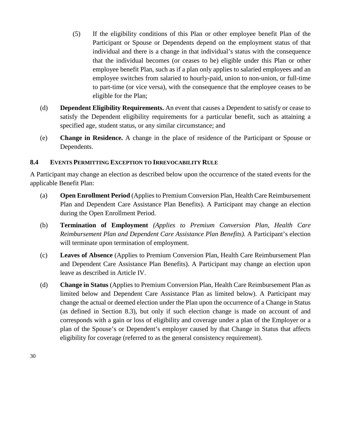- (5) If the eligibility conditions of this Plan or other employee benefit Plan of the Participant or Spouse or Dependents depend on the employment status of that individual and there is a change in that individual's status with the consequence that the individual becomes (or ceases to be) eligible under this Plan or other employee benefit Plan, such as if a plan only applies to salaried employees and an employee switches from salaried to hourly-paid, union to non-union, or full-time to part-time (or vice versa), with the consequence that the employee ceases to be eligible for the Plan;
- (d) **Dependent Eligibility Requirements.** An event that causes a Dependent to satisfy or cease to satisfy the Dependent eligibility requirements for a particular benefit, such as attaining a specified age, student status, or any similar circumstance; and
- (e) **Change in Residence.** A change in the place of residence of the Participant or Spouse or Dependents.

#### <span id="page-30-0"></span>**8.4 EVENTS PERMITTING EXCEPTION TO IRREVOCABILITY RULE**

A Participant may change an election as described below upon the occurrence of the stated events for the applicable Benefit Plan:

- (a) **Open Enrollment Period** (Applies to Premium Conversion Plan, Health Care Reimbursement Plan and Dependent Care Assistance Plan Benefits). A Participant may change an election during the Open Enrollment Period.
- (b) **Termination of Employment** *(Applies to Premium Conversion Plan, Health Care Reimbursement Plan and Dependent Care Assistance Plan Benefits).* A Participant's election will terminate upon termination of employment.
- (c) **Leaves of Absence** (Applies to Premium Conversion Plan, Health Care Reimbursement Plan and Dependent Care Assistance Plan Benefits). A Participant may change an election upon leave as described in Article IV.
- (d) **Change in Status** (Applies to Premium Conversion Plan, Health Care Reimbursement Plan as limited below and Dependent Care Assistance Plan as limited below). A Participant may change the actual or deemed election under the Plan upon the occurrence of a Change in Status (as defined in Section 8.3), but only if such election change is made on account of and corresponds with a gain or loss of eligibility and coverage under a plan of the Employer or a plan of the Spouse's or Dependent's employer caused by that Change in Status that affects eligibility for coverage (referred to as the general consistency requirement).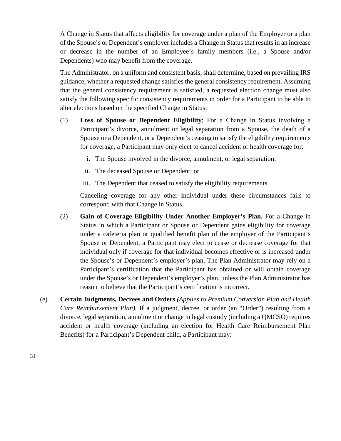A Change in Status that affects eligibility for coverage under a plan of the Employer or a plan of the Spouse's or Dependent's employer includes a Change in Status that results in an increase or decrease in the number of an Employee's family members (i.e., a Spouse and/or Dependents) who may benefit from the coverage.

The Administrator, on a uniform and consistent basis, shall determine, based on prevailing IRS guidance, whether a requested change satisfies the general consistency requirement. Assuming that the general consistency requirement is satisfied, a requested election change must also satisfy the following specific consistency requirements in order for a Participant to be able to alter elections based on the specified Change in Status:

- (1) **Loss of Spouse or Dependent Eligibility**; For a Change in Status involving a Participant's divorce, annulment or legal separation from a Spouse, the death of a Spouse or a Dependent, or a Dependent's ceasing to satisfy the eligibility requirements for coverage, a Participant may only elect to cancel accident or health coverage for:
	- i. The Spouse involved in the divorce, annulment, or legal separation;
	- ii. The deceased Spouse or Dependent; or
	- iii. The Dependent that ceased to satisfy the eligibility requirements.

Canceling coverage for any other individual under these circumstances fails to correspond with that Change in Status.

- (2) **Gain of Coverage Eligibility Under Another Employer's Plan.** For a Change in Status in which a Participant or Spouse or Dependent gains eligibility for coverage under a cafeteria plan or qualified benefit plan of the employer of the Participant's Spouse or Dependent, a Participant may elect to cease or decrease coverage for that individual only if coverage for that individual becomes effective or is increased under the Spouse's or Dependent's employer's plan. The Plan Administrator may rely on a Participant's certification that the Participant has obtained or will obtain coverage under the Spouse's or Dependent's employer's plan, unless the Plan Administrator has reason to believe that the Participant's certification is incorrect.
- (e) **Certain Judgments, Decrees and Orders** *(Applies to Premium Conversion Plan and Health Care Reimbursement Plan).* If a judgment, decree, or order (an "Order") resulting from a divorce, legal separation, annulment or change in legal custody (including a QMCSO) requires accident or health coverage (including an election for Health Care Reimbursement Plan Benefits) for a Participant's Dependent child, a Participant may: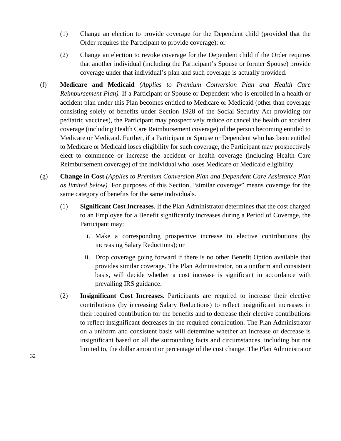- (1) Change an election to provide coverage for the Dependent child (provided that the Order requires the Participant to provide coverage); or
- (2) Change an election to revoke coverage for the Dependent child if the Order requires that another individual (including the Participant's Spouse or former Spouse) provide coverage under that individual's plan and such coverage is actually provided.
- (f) **Medicare and Medicaid** *(Applies to Premium Conversion Plan and Health Care Reimbursement Plan).* If a Participant or Spouse or Dependent who is enrolled in a health or accident plan under this Plan becomes entitled to Medicare or Medicaid (other than coverage consisting solely of benefits under Section 1928 of the Social Security Act providing for pediatric vaccines), the Participant may prospectively reduce or cancel the health or accident coverage (including Health Care Reimbursement coverage) of the person becoming entitled to Medicare or Medicaid. Further, if a Participant or Spouse or Dependent who has been entitled to Medicare or Medicaid loses eligibility for such coverage, the Participant may prospectively elect to commence or increase the accident or health coverage (including Health Care Reimbursement coverage) of the individual who loses Medicare or Medicaid eligibility.
- (g) **Change in Cost** *(Applies to Premium Conversion Plan and Dependent Care Assistance Plan as limited below).* For purposes of this Section, "similar coverage" means coverage for the same category of benefits for the same individuals.
	- (1) **Significant Cost Increases**. If the Plan Administrator determines that the cost charged to an Employee for a Benefit significantly increases during a Period of Coverage, the Participant may:
		- i. Make a corresponding prospective increase to elective contributions (by increasing Salary Reductions); or
		- ii. Drop coverage going forward if there is no other Benefit Option available that provides similar coverage. The Plan Administrator, on a uniform and consistent basis, will decide whether a cost increase is significant in accordance with prevailing IRS guidance.
	- (2) **Insignificant Cost Increases.** Participants are required to increase their elective contributions (by increasing Salary Reductions) to reflect insignificant increases in their required contribution for the benefits and to decrease their elective contributions to reflect insignificant decreases in the required contribution. The Plan Administrator on a uniform and consistent basis will determine whether an increase or decrease is insignificant based on all the surrounding facts and circumstances, including but not limited to, the dollar amount or percentage of the cost change. The Plan Administrator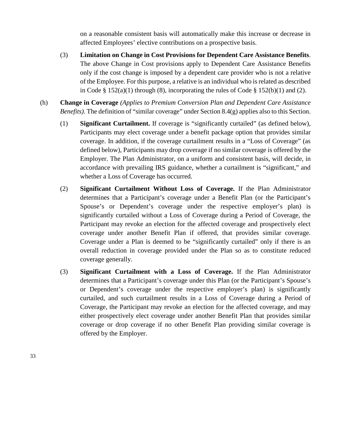on a reasonable consistent basis will automatically make this increase or decrease in affected Employees' elective contributions on a prospective basis.

- (3) **Limitation on Change in Cost Provisions for Dependent Care Assistance Benefits**. The above Change in Cost provisions apply to Dependent Care Assistance Benefits only if the cost change is imposed by a dependent care provider who is not a relative of the Employee. For this purpose, a relative is an individual who is related as described in Code §  $152(a)(1)$  through (8), incorporating the rules of Code §  $152(b)(1)$  and (2).
- (h) **Change in Coverage** *(Applies to Premium Conversion Plan and Dependent Care Assistance Benefits)*. The definition of "similar coverage" under Section 8.4(g) applies also to this Section.
	- (1) **Significant Curtailment.** If coverage is "significantly curtailed" (as defined below), Participants may elect coverage under a benefit package option that provides similar coverage. In addition, if the coverage curtailment results in a "Loss of Coverage" (as defined below), Participants may drop coverage if no similar coverage is offered by the Employer. The Plan Administrator, on a uniform and consistent basis, will decide, in accordance with prevailing IRS guidance, whether a curtailment is "significant," and whether a Loss of Coverage has occurred.
	- (2) **Significant Curtailment Without Loss of Coverage.** If the Plan Administrator determines that a Participant's coverage under a Benefit Plan (or the Participant's Spouse's or Dependent's coverage under the respective employer's plan) is significantly curtailed without a Loss of Coverage during a Period of Coverage, the Participant may revoke an election for the affected coverage and prospectively elect coverage under another Benefit Plan if offered, that provides similar coverage. Coverage under a Plan is deemed to be "significantly curtailed" only if there is an overall reduction in coverage provided under the Plan so as to constitute reduced coverage generally.
	- (3) **Significant Curtailment with a Loss of Coverage.** If the Plan Administrator determines that a Participant's coverage under this Plan (or the Participant's Spouse's or Dependent's coverage under the respective employer's plan) is significantly curtailed, and such curtailment results in a Loss of Coverage during a Period of Coverage, the Participant may revoke an election for the affected coverage, and may either prospectively elect coverage under another Benefit Plan that provides similar coverage or drop coverage if no other Benefit Plan providing similar coverage is offered by the Employer.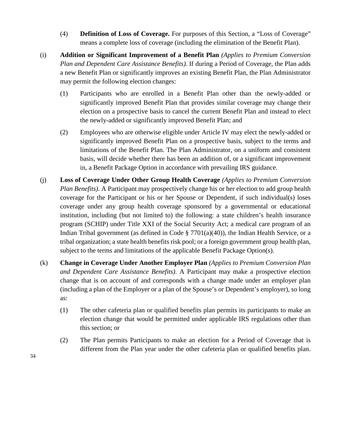- (4) **Definition of Loss of Coverage.** For purposes of this Section, a "Loss of Coverage" means a complete loss of coverage (including the elimination of the Benefit Plan).
- (i) **Addition or Significant Improvement of a Benefit Plan** *(Applies to Premium Conversion Plan and Dependent Care Assistance Benefits)*. If during a Period of Coverage, the Plan adds a new Benefit Plan or significantly improves an existing Benefit Plan, the Plan Administrator may permit the following election changes:
	- (1) Participants who are enrolled in a Benefit Plan other than the newly-added or significantly improved Benefit Plan that provides similar coverage may change their election on a prospective basis to cancel the current Benefit Plan and instead to elect the newly-added or significantly improved Benefit Plan; and
	- (2) Employees who are otherwise eligible under Article IV may elect the newly-added or significantly improved Benefit Plan on a prospective basis, subject to the terms and limitations of the Benefit Plan. The Plan Administrator, on a uniform and consistent basis, will decide whether there has been an addition of, or a significant improvement in, a Benefit Package Option in accordance with prevailing IRS guidance.
- (j) **Loss of Coverage Under Other Group Health Coverage** *(Applies to Premium Conversion Plan Benefits)*. A Participant may prospectively change his or her election to add group health coverage for the Participant or his or her Spouse or Dependent, if such individual(s) loses coverage under any group health coverage sponsored by a governmental or educational institution, including (but not limited to) the following: a state children's health insurance program (SCHIP) under Title XXI of the Social Security Act; a medical care program of an Indian Tribal government (as defined in Code § 7701(a)(40)), the Indian Health Service, or a tribal organization; a state health benefits risk pool; or a foreign government group health plan, subject to the terms and limitations of the applicable Benefit Package Option(s).
- (k) **Change in Coverage Under Another Employer Plan** *(Applies to Premium Conversion Plan and Dependent Care Assistance Benefits)*. A Participant may make a prospective election change that is on account of and corresponds with a change made under an employer plan (including a plan of the Employer or a plan of the Spouse's or Dependent's employer), so long as:
	- (1) The other cafeteria plan or qualified benefits plan permits its participants to make an election change that would be permitted under applicable IRS regulations other than this section; or
	- (2) The Plan permits Participants to make an election for a Period of Coverage that is different from the Plan year under the other cafeteria plan or qualified benefits plan.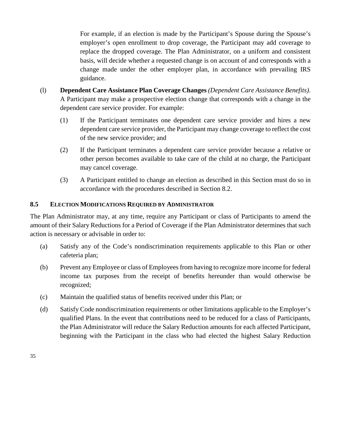For example, if an election is made by the Participant's Spouse during the Spouse's employer's open enrollment to drop coverage, the Participant may add coverage to replace the dropped coverage. The Plan Administrator, on a uniform and consistent basis, will decide whether a requested change is on account of and corresponds with a change made under the other employer plan, in accordance with prevailing IRS guidance.

- (l) **Dependent Care Assistance Plan Coverage Changes** *(Dependent Care Assistance Benefits)*. A Participant may make a prospective election change that corresponds with a change in the dependent care service provider. For example:
	- (1) If the Participant terminates one dependent care service provider and hires a new dependent care service provider, the Participant may change coverage to reflect the cost of the new service provider; and
	- (2) If the Participant terminates a dependent care service provider because a relative or other person becomes available to take care of the child at no charge, the Participant may cancel coverage.
	- (3) A Participant entitled to change an election as described in this Section must do so in accordance with the procedures described in Section 8.2.

#### <span id="page-35-0"></span>**8.5 ELECTION MODIFICATIONS REQUIRED BY ADMINISTRATOR**

The Plan Administrator may, at any time, require any Participant or class of Participants to amend the amount of their Salary Reductions for a Period of Coverage if the Plan Administrator determines that such action is necessary or advisable in order to:

- (a) Satisfy any of the Code's nondiscrimination requirements applicable to this Plan or other cafeteria plan;
- (b) Prevent any Employee or class of Employees from having to recognize more income for federal income tax purposes from the receipt of benefits hereunder than would otherwise be recognized;
- (c) Maintain the qualified status of benefits received under this Plan; or
- (d) Satisfy Code nondiscrimination requirements or other limitations applicable to the Employer's qualified Plans. In the event that contributions need to be reduced for a class of Participants, the Plan Administrator will reduce the Salary Reduction amounts for each affected Participant, beginning with the Participant in the class who had elected the highest Salary Reduction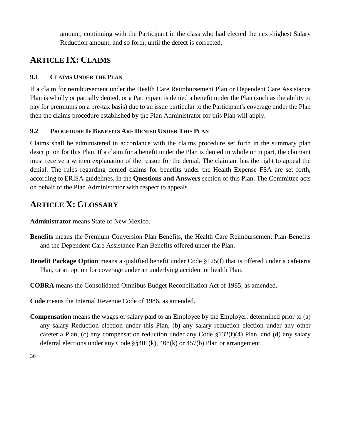amount, continuing with the Participant in the class who had elected the next-highest Salary Reduction amount, and so forth, until the defect is corrected.

# <span id="page-36-0"></span>**ARTICLE IX: CLAIMS**

#### <span id="page-36-1"></span>**9.1 CLAIMS UNDER THE PLAN**

If a claim for reimbursement under the Health Care Reimbursement Plan or Dependent Care Assistance Plan is wholly or partially denied, or a Participant is denied a benefit under the Plan (such as the ability to pay for premiums on a pre-tax basis) due to an issue particular to the Participant's coverage under the Plan then the claims procedure established by the Plan Administrator for this Plan will apply.

#### <span id="page-36-2"></span>**9.2 PROCEDURE IF BENEFITS ARE DENIED UNDER THIS PLAN**

Claims shall be administered in accordance with the claims procedure set forth in the summary plan description for this Plan. If a claim for a benefit under the Plan is denied in whole or in part, the claimant must receive a written explanation of the reason for the denial. The claimant has the right to appeal the denial. The rules regarding denied claims for benefits under the Health Expense FSA are set forth, according to ERISA guidelines, in the **Questions and Answers** section of this Plan. The Committee acts on behalf of the Plan Administrator with respect to appeals.

# <span id="page-36-3"></span>**ARTICLE X: GLOSSARY**

**Administrator** means State of New Mexico.

- **Benefits** means the Premium Conversion Plan Benefits, the Health Care Reimbursement Plan Benefits and the Dependent Care Assistance Plan Benefits offered under the Plan.
- **Benefit Package Option** means a qualified benefit under Code §125(f) that is offered under a cafeteria Plan, or an option for coverage under an underlying accident or health Plan.
- **COBRA** means the Consolidated Omnibus Budget Reconciliation Act of 1985, as amended.

**Code** means the Internal Revenue Code of 1986, as amended.

**Compensation** means the wages or salary paid to an Employee by the Employer, determined prior to (a) any salary Reduction election under this Plan, (b) any salary reduction election under any other cafeteria Plan, (c) any compensation reduction under any Code §132(f)(4) Plan, and (d) any salary deferral elections under any Code §§401(k), 408(k) or 457(b) Plan or arrangement.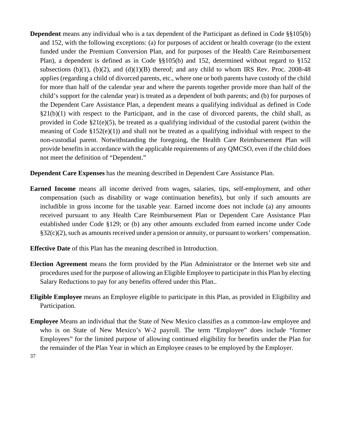**Dependent** means any individual who is a tax dependent of the Participant as defined in Code §§105(b) and 152, with the following exceptions: (a) for purposes of accident or health coverage (to the extent funded under the Premium Conversion Plan, and for purposes of the Health Care Reimbursement Plan), a dependent is defined as in Code §§105(b) and 152, determined without regard to §152 subsections (b)(1), (b)(2), and (d)(1)(B) thereof; and any child to whom IRS Rev. Proc. 2008-48 applies (regarding a child of divorced parents, etc., where one or both parents have custody of the child for more than half of the calendar year and where the parents together provide more than half of the child's support for the calendar year) is treated as a dependent of both parents; and (b) for purposes of the Dependent Care Assistance Plan, a dependent means a qualifying individual as defined in Code  $§21(b)(1)$  with respect to the Participant, and in the case of divorced parents, the child shall, as provided in Code §21(e)(5), be treated as a qualifying individual of the custodial parent (within the meaning of Code §152(e)(1)) and shall not be treated as a qualifying individual with respect to the non-custodial parent. Notwithstanding the foregoing, the Health Care Reimbursement Plan will provide benefits in accordance with the applicable requirements of any QMCSO, even if the child does not meet the definition of "Dependent."

**Dependent Care Expenses** has the meaning described in Dependent Care Assistance Plan.

- **Earned Income** means all income derived from wages, salaries, tips, self-employment, and other compensation (such as disability or wage continuation benefits), but only if such amounts are includible in gross income for the taxable year. Earned income does not include (a) any amounts received pursuant to any Health Care Reimbursement Plan or Dependent Care Assistance Plan established under Code §129; or (b) any other amounts excluded from earned income under Code §32(c)(2), such as amounts received under a pension or annuity, or pursuant to workers' compensation.
- **Effective Date** of this Plan has the meaning described in Introduction.
- **Election Agreement** means the form provided by the Plan Administrator or the Internet web site and procedures used for the purpose of allowing an Eligible Employee to participate in this Plan by electing Salary Reductions to pay for any benefits offered under this Plan..
- **Eligible Employee** means an Employee eligible to participate in this Plan, as provided in Eligibility and Participation.
- **Employee** Means an individual that the State of New Mexico classifies as a common-law employee and who is on State of New Mexico's W-2 payroll. The term "Employee" does include "former Employees" for the limited purpose of allowing continued eligibility for benefits under the Plan for the remainder of the Plan Year in which an Employee ceases to be employed by the Employer.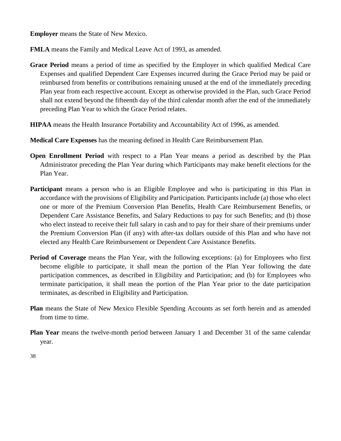**Employer** means the State of New Mexico.

**FMLA** means the Family and Medical Leave Act of 1993, as amended.

- **Grace Period** means a period of time as specified by the Employer in which qualified Medical Care Expenses and qualified Dependent Care Expenses incurred during the Grace Period may be paid or reimbursed from benefits or contributions remaining unused at the end of the immediately preceding Plan year from each respective account. Except as otherwise provided in the Plan, such Grace Period shall not extend beyond the fifteenth day of the third calendar month after the end of the immediately preceding Plan Year to which the Grace Period relates.
- **HIPAA** means the Health Insurance Portability and Accountability Act of 1996, as amended.
- **Medical Care Expenses** has the meaning defined in Health Care Reimbursement Plan.
- **Open Enrollment Period** with respect to a Plan Year means a period as described by the Plan Administrator preceding the Plan Year during which Participants may make benefit elections for the Plan Year.
- **Participant** means a person who is an Eligible Employee and who is participating in this Plan in accordance with the provisions of Eligibility and Participation. Participants include (a) those who elect one or more of the Premium Conversion Plan Benefits, Health Care Reimbursement Benefits, or Dependent Care Assistance Benefits, and Salary Reductions to pay for such Benefits; and (b) those who elect instead to receive their full salary in cash and to pay for their share of their premiums under the Premium Conversion Plan (if any) with after-tax dollars outside of this Plan and who have not elected any Health Care Reimbursement or Dependent Care Assistance Benefits.
- **Period of Coverage** means the Plan Year, with the following exceptions: (a) for Employees who first become eligible to participate, it shall mean the portion of the Plan Year following the date participation commences, as described in Eligibility and Participation; and (b) for Employees who terminate participation, it shall mean the portion of the Plan Year prior to the date participation terminates, as described in Eligibility and Participation.
- **Plan** means the State of New Mexico Flexible Spending Accounts as set forth herein and as amended from time to time.
- **Plan Year** means the twelve-month period between January 1 and December 31 of the same calendar year.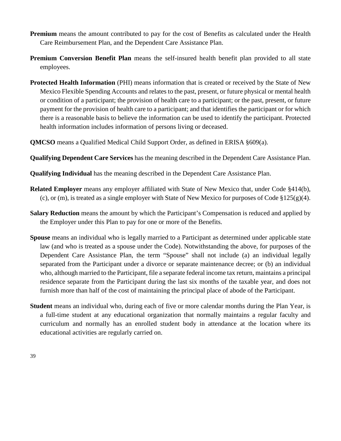- **Premium** means the amount contributed to pay for the cost of Benefits as calculated under the Health Care Reimbursement Plan, and the Dependent Care Assistance Plan.
- **Premium Conversion Benefit Plan** means the self-insured health benefit plan provided to all state employees.
- **Protected Health Information** (PHI) means information that is created or received by the State of New Mexico Flexible Spending Accounts and relates to the past, present, or future physical or mental health or condition of a participant; the provision of health care to a participant; or the past, present, or future payment for the provision of health care to a participant; and that identifies the participant or for which there is a reasonable basis to believe the information can be used to identify the participant. Protected health information includes information of persons living or deceased.
- **QMCSO** means a Qualified Medical Child Support Order, as defined in ERISA §609(a).
- **Qualifying Dependent Care Services** has the meaning described in the Dependent Care Assistance Plan.
- **Qualifying Individual** has the meaning described in the Dependent Care Assistance Plan.
- **Related Employer** means any employer affiliated with State of New Mexico that, under Code §414(b), (c), or (m), is treated as a single employer with State of New Mexico for purposes of Code §125(g)(4).
- **Salary Reduction** means the amount by which the Participant's Compensation is reduced and applied by the Employer under this Plan to pay for one or more of the Benefits.
- **Spouse** means an individual who is legally married to a Participant as determined under applicable state law (and who is treated as a spouse under the Code). Notwithstanding the above, for purposes of the Dependent Care Assistance Plan, the term "Spouse" shall not include (a) an individual legally separated from the Participant under a divorce or separate maintenance decree; or (b) an individual who, although married to the Participant, file a separate federal income tax return, maintains a principal residence separate from the Participant during the last six months of the taxable year, and does not furnish more than half of the cost of maintaining the principal place of abode of the Participant.
- **Student** means an individual who, during each of five or more calendar months during the Plan Year, is a full-time student at any educational organization that normally maintains a regular faculty and curriculum and normally has an enrolled student body in attendance at the location where its educational activities are regularly carried on.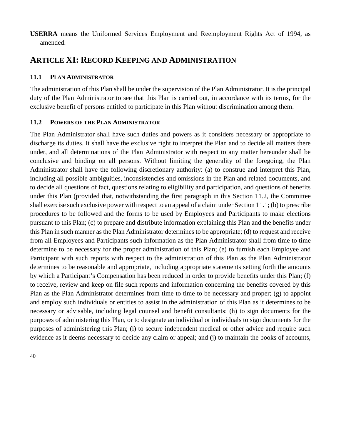**USERRA** means the Uniformed Services Employment and Reemployment Rights Act of 1994, as amended.

### <span id="page-40-0"></span>**ARTICLE XI: RECORD KEEPING AND ADMINISTRATION**

#### <span id="page-40-1"></span>**11.1 PLAN ADMINISTRATOR**

The administration of this Plan shall be under the supervision of the Plan Administrator. It is the principal duty of the Plan Administrator to see that this Plan is carried out, in accordance with its terms, for the exclusive benefit of persons entitled to participate in this Plan without discrimination among them.

#### <span id="page-40-2"></span>**11.2 POWERS OF THE PLAN ADMINISTRATOR**

The Plan Administrator shall have such duties and powers as it considers necessary or appropriate to discharge its duties. It shall have the exclusive right to interpret the Plan and to decide all matters there under, and all determinations of the Plan Administrator with respect to any matter hereunder shall be conclusive and binding on all persons. Without limiting the generality of the foregoing, the Plan Administrator shall have the following discretionary authority: (a) to construe and interpret this Plan, including all possible ambiguities, inconsistencies and omissions in the Plan and related documents, and to decide all questions of fact, questions relating to eligibility and participation, and questions of benefits under this Plan (provided that, notwithstanding the first paragraph in this Section 11.2, the Committee shall exercise such exclusive power with respect to an appeal of a claim under Section 11.1; (b) to prescribe procedures to be followed and the forms to be used by Employees and Participants to make elections pursuant to this Plan; (c) to prepare and distribute information explaining this Plan and the benefits under this Plan in such manner as the Plan Administrator determines to be appropriate; (d) to request and receive from all Employees and Participants such information as the Plan Administrator shall from time to time determine to be necessary for the proper administration of this Plan; (e) to furnish each Employee and Participant with such reports with respect to the administration of this Plan as the Plan Administrator determines to be reasonable and appropriate, including appropriate statements setting forth the amounts by which a Participant's Compensation has been reduced in order to provide benefits under this Plan; (f) to receive, review and keep on file such reports and information concerning the benefits covered by this Plan as the Plan Administrator determines from time to time to be necessary and proper; (g) to appoint and employ such individuals or entities to assist in the administration of this Plan as it determines to be necessary or advisable, including legal counsel and benefit consultants; (h) to sign documents for the purposes of administering this Plan, or to designate an individual or individuals to sign documents for the purposes of administering this Plan; (i) to secure independent medical or other advice and require such evidence as it deems necessary to decide any claim or appeal; and (j) to maintain the books of accounts,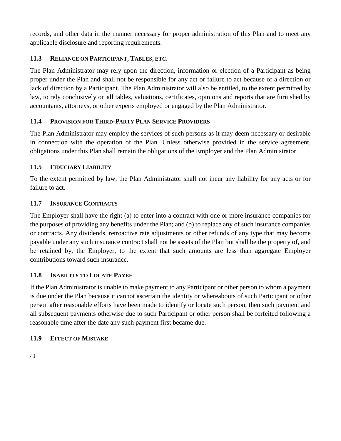records, and other data in the manner necessary for proper administration of this Plan and to meet any applicable disclosure and reporting requirements.

#### <span id="page-41-0"></span>**11.3 RELIANCE ON PARTICIPANT, TABLES, ETC.**

The Plan Administrator may rely upon the direction, information or election of a Participant as being proper under the Plan and shall not be responsible for any act or failure to act because of a direction or lack of direction by a Participant. The Plan Administrator will also be entitled, to the extent permitted by law, to rely conclusively on all tables, valuations, certificates, opinions and reports that are furnished by accountants, attorneys, or other experts employed or engaged by the Plan Administrator.

#### <span id="page-41-1"></span>**11.4 PROVISION FOR THIRD-PARTY PLAN SERVICE PROVIDERS**

The Plan Administrator may employ the services of such persons as it may deem necessary or desirable in connection with the operation of the Plan. Unless otherwise provided in the service agreement, obligations under this Plan shall remain the obligations of the Employer and the Plan Administrator.

#### <span id="page-41-2"></span>**11.5 FIDUCIARY LIABILITY**

To the extent permitted by law, the Plan Administrator shall not incur any liability for any acts or for failure to act.

#### <span id="page-41-3"></span>**11.7 INSURANCE CONTRACTS**

The Employer shall have the right (a) to enter into a contract with one or more insurance companies for the purposes of providing any benefits under the Plan; and (b) to replace any of such insurance companies or contracts. Any dividends, retroactive rate adjustments or other refunds of any type that may become payable under any such insurance contract shall not be assets of the Plan but shall be the property of, and be retained by, the Employer, to the extent that such amounts are less than aggregate Employer contributions toward such insurance.

#### <span id="page-41-4"></span>**11.8 INABILITY TO LOCATE PAYEE**

If the Plan Administrator is unable to make payment to any Participant or other person to whom a payment is due under the Plan because it cannot ascertain the identity or whereabouts of such Participant or other person after reasonable efforts have been made to identify or locate such person, then such payment and all subsequent payments otherwise due to such Participant or other person shall be forfeited following a reasonable time after the date any such payment first became due.

#### <span id="page-41-5"></span>**11.9 EFFECT OF MISTAKE**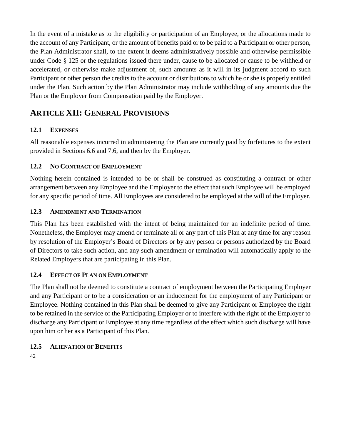In the event of a mistake as to the eligibility or participation of an Employee, or the allocations made to the account of any Participant, or the amount of benefits paid or to be paid to a Participant or other person, the Plan Administrator shall, to the extent it deems administratively possible and otherwise permissible under Code § 125 or the regulations issued there under, cause to be allocated or cause to be withheld or accelerated, or otherwise make adjustment of, such amounts as it will in its judgment accord to such Participant or other person the credits to the account or distributions to which he or she is properly entitled under the Plan. Such action by the Plan Administrator may include withholding of any amounts due the Plan or the Employer from Compensation paid by the Employer.

# <span id="page-42-0"></span>**ARTICLE XII: GENERAL PROVISIONS**

#### <span id="page-42-1"></span>**12.1 EXPENSES**

All reasonable expenses incurred in administering the Plan are currently paid by forfeitures to the extent provided in Sections 6.6 and 7.6, and then by the Employer.

#### <span id="page-42-2"></span>**12.2 NO CONTRACT OF EMPLOYMENT**

Nothing herein contained is intended to be or shall be construed as constituting a contract or other arrangement between any Employee and the Employer to the effect that such Employee will be employed for any specific period of time. All Employees are considered to be employed at the will of the Employer.

#### <span id="page-42-3"></span>**12.3 AMENDMENT AND TERMINATION**

This Plan has been established with the intent of being maintained for an indefinite period of time. Nonetheless, the Employer may amend or terminate all or any part of this Plan at any time for any reason by resolution of the Employer's Board of Directors or by any person or persons authorized by the Board of Directors to take such action, and any such amendment or termination will automatically apply to the Related Employers that are participating in this Plan.

### <span id="page-42-4"></span>**12.4 EFFECT OF PLAN ON EMPLOYMENT**

The Plan shall not be deemed to constitute a contract of employment between the Participating Employer and any Participant or to be a consideration or an inducement for the employment of any Participant or Employee. Nothing contained in this Plan shall be deemed to give any Participant or Employee the right to be retained in the service of the Participating Employer or to interfere with the right of the Employer to discharge any Participant or Employee at any time regardless of the effect which such discharge will have upon him or her as a Participant of this Plan.

#### <span id="page-42-5"></span>**12.5 ALIENATION OF BENEFITS**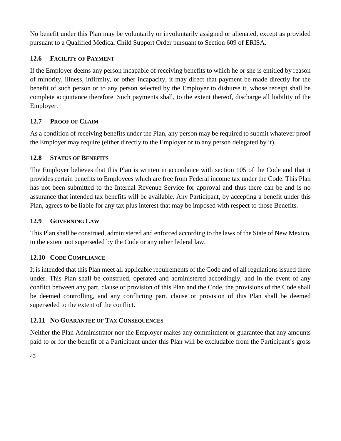No benefit under this Plan may be voluntarily or involuntarily assigned or alienated, except as provided pursuant to a Qualified Medical Child Support Order pursuant to Section 609 of ERISA.

#### <span id="page-43-0"></span>**12.6 FACILITY OF PAYMENT**

If the Employer deems any person incapable of receiving benefits to which he or she is entitled by reason of minority, illness, infirmity, or other incapacity, it may direct that payment be made directly for the benefit of such person or to any person selected by the Employer to disburse it, whose receipt shall be complete acquittance therefore. Such payments shall, to the extent thereof, discharge all liability of the Employer.

#### <span id="page-43-1"></span>**12.7 PROOF OF CLAIM**

As a condition of receiving benefits under the Plan, any person may be required to submit whatever proof the Employer may require (either directly to the Employer or to any person delegated by it).

#### <span id="page-43-2"></span>**12.8 STATUS OF BENEFITS**

The Employer believes that this Plan is written in accordance with section 105 of the Code and that it provides certain benefits to Employees which are free from Federal income tax under the Code. This Plan has not been submitted to the Internal Revenue Service for approval and thus there can be and is no assurance that intended tax benefits will be available. Any Participant, by accepting a benefit under this Plan, agrees to be liable for any tax plus interest that may be imposed with respect to those Benefits.

#### <span id="page-43-3"></span>**12.9 GOVERNING LAW**

This Plan shall be construed, administered and enforced according to the laws of the State of New Mexico, to the extent not superseded by the Code or any other federal law.

#### <span id="page-43-4"></span>**12.10 CODE COMPLIANCE**

It is intended that this Plan meet all applicable requirements of the Code and of all regulations issued there under. This Plan shall be construed, operated and administered accordingly, and in the event of any conflict between any part, clause or provision of this Plan and the Code, the provisions of the Code shall be deemed controlling, and any conflicting part, clause or provision of this Plan shall be deemed superseded to the extent of the conflict.

#### <span id="page-43-5"></span>**12.11 NO GUARANTEE OF TAX CONSEQUENCES**

Neither the Plan Administrator nor the Employer makes any commitment or guarantee that any amounts paid to or for the benefit of a Participant under this Plan will be excludable from the Participant's gross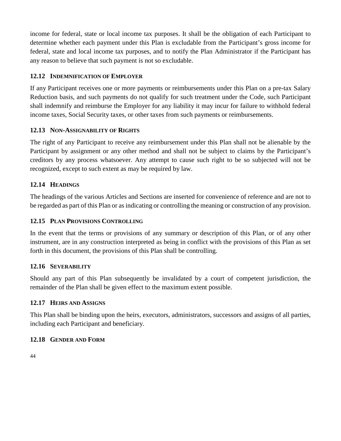income for federal, state or local income tax purposes. It shall be the obligation of each Participant to determine whether each payment under this Plan is excludable from the Participant's gross income for federal, state and local income tax purposes, and to notify the Plan Administrator if the Participant has any reason to believe that such payment is not so excludable.

#### <span id="page-44-0"></span>**12.12 INDEMNIFICATION OF EMPLOYER**

If any Participant receives one or more payments or reimbursements under this Plan on a pre-tax Salary Reduction basis, and such payments do not qualify for such treatment under the Code, such Participant shall indemnify and reimburse the Employer for any liability it may incur for failure to withhold federal income taxes, Social Security taxes, or other taxes from such payments or reimbursements.

#### <span id="page-44-1"></span>**12.13 NON-ASSIGNABILITY OF RIGHTS**

The right of any Participant to receive any reimbursement under this Plan shall not be alienable by the Participant by assignment or any other method and shall not be subject to claims by the Participant's creditors by any process whatsoever. Any attempt to cause such right to be so subjected will not be recognized, except to such extent as may be required by law.

#### <span id="page-44-2"></span>**12.14 HEADINGS**

The headings of the various Articles and Sections are inserted for convenience of reference and are not to be regarded as part of this Plan or as indicating or controlling the meaning or construction of any provision.

#### <span id="page-44-3"></span>**12.15 PLAN PROVISIONS CONTROLLING**

In the event that the terms or provisions of any summary or description of this Plan, or of any other instrument, are in any construction interpreted as being in conflict with the provisions of this Plan as set forth in this document, the provisions of this Plan shall be controlling.

#### <span id="page-44-4"></span>**12.16 SEVERABILITY**

Should any part of this Plan subsequently be invalidated by a court of competent jurisdiction, the remainder of the Plan shall be given effect to the maximum extent possible.

#### <span id="page-44-5"></span>**12.17 HEIRS AND ASSIGNS**

This Plan shall be binding upon the heirs, executors, administrators, successors and assigns of all parties, including each Participant and beneficiary.

#### <span id="page-44-6"></span>**12.18 GENDER AND FORM**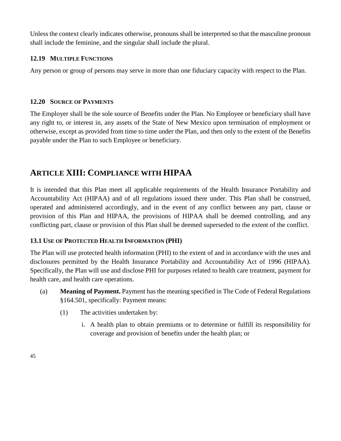Unless the context clearly indicates otherwise, pronouns shall be interpreted so that the masculine pronoun shall include the feminine, and the singular shall include the plural.

#### <span id="page-45-0"></span>**12.19 MULTIPLE FUNCTIONS**

Any person or group of persons may serve in more than one fiduciary capacity with respect to the Plan.

#### <span id="page-45-1"></span>**12.20 SOURCE OF PAYMENTS**

The Employer shall be the sole source of Benefits under the Plan. No Employee or beneficiary shall have any right to, or interest in, any assets of the State of New Mexico upon termination of employment or otherwise, except as provided from time to time under the Plan, and then only to the extent of the Benefits payable under the Plan to such Employee or beneficiary.

# <span id="page-45-2"></span>**ARTICLE XIII: COMPLIANCE WITH HIPAA**

It is intended that this Plan meet all applicable requirements of the Health Insurance Portability and Accountability Act (HIPAA) and of all regulations issued there under. This Plan shall be construed, operated and administered accordingly, and in the event of any conflict between any part, clause or provision of this Plan and HIPAA, the provisions of HIPAA shall be deemed controlling, and any conflicting part, clause or provision of this Plan shall be deemed superseded to the extent of the conflict.

#### <span id="page-45-3"></span>**13.1 USE OF PROTECTED HEALTH INFORMATION (PHI)**

The Plan will use protected health information (PHI) to the extent of and in accordance with the uses and disclosures permitted by the Health Insurance Portability and Accountability Act of 1996 (HIPAA). Specifically, the Plan will use and disclose PHI for purposes related to health care treatment, payment for health care, and health care operations.

- (a) **Meaning of Payment.** Payment has the meaning specified in The Code of Federal Regulations §164.501, specifically: Payment means:
	- (1) The activities undertaken by:
		- i. A health plan to obtain premiums or to determine or fulfill its responsibility for coverage and provision of benefits under the health plan; or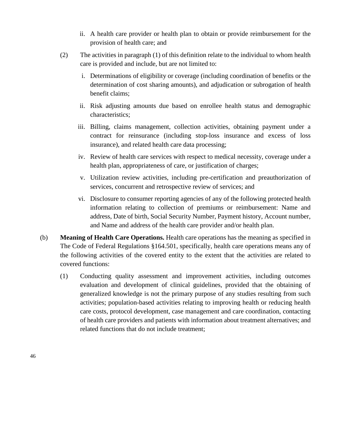- ii. A health care provider or health plan to obtain or provide reimbursement for the provision of health care; and
- (2) The activities in paragraph (1) of this definition relate to the individual to whom health care is provided and include, but are not limited to:
	- i. Determinations of eligibility or coverage (including coordination of benefits or the determination of cost sharing amounts), and adjudication or subrogation of health benefit claims;
	- ii. Risk adjusting amounts due based on enrollee health status and demographic characteristics;
	- iii. Billing, claims management, collection activities, obtaining payment under a contract for reinsurance (including stop-loss insurance and excess of loss insurance), and related health care data processing;
	- iv. Review of health care services with respect to medical necessity, coverage under a health plan, appropriateness of care, or justification of charges;
	- v. Utilization review activities, including pre-certification and preauthorization of services, concurrent and retrospective review of services; and
	- vi. Disclosure to consumer reporting agencies of any of the following protected health information relating to collection of premiums or reimbursement: Name and address, Date of birth, Social Security Number, Payment history, Account number, and Name and address of the health care provider and/or health plan.
- (b) **Meaning of Health Care Operations.** Health care operations has the meaning as specified in The Code of Federal Regulations §164.501, specifically, health care operations means any of the following activities of the covered entity to the extent that the activities are related to covered functions:
	- (1) Conducting quality assessment and improvement activities, including outcomes evaluation and development of clinical guidelines, provided that the obtaining of generalized knowledge is not the primary purpose of any studies resulting from such activities; population-based activities relating to improving health or reducing health care costs, protocol development, case management and care coordination, contacting of health care providers and patients with information about treatment alternatives; and related functions that do not include treatment;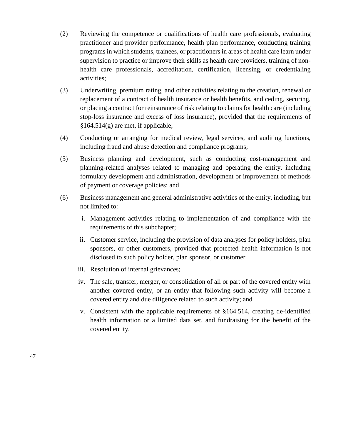- (2) Reviewing the competence or qualifications of health care professionals, evaluating practitioner and provider performance, health plan performance, conducting training programs in which students, trainees, or practitioners in areas of health care learn under supervision to practice or improve their skills as health care providers, training of nonhealth care professionals, accreditation, certification, licensing, or credentialing activities;
- (3) Underwriting, premium rating, and other activities relating to the creation, renewal or replacement of a contract of health insurance or health benefits, and ceding, securing, or placing a contract for reinsurance of risk relating to claims for health care (including stop-loss insurance and excess of loss insurance), provided that the requirements of §164.514(g) are met, if applicable;
- (4) Conducting or arranging for medical review, legal services, and auditing functions, including fraud and abuse detection and compliance programs;
- (5) Business planning and development, such as conducting cost-management and planning-related analyses related to managing and operating the entity, including formulary development and administration, development or improvement of methods of payment or coverage policies; and
- (6) Business management and general administrative activities of the entity, including, but not limited to:
	- i. Management activities relating to implementation of and compliance with the requirements of this subchapter;
	- ii. Customer service, including the provision of data analyses for policy holders, plan sponsors, or other customers, provided that protected health information is not disclosed to such policy holder, plan sponsor, or customer.
	- iii. Resolution of internal grievances;
	- iv. The sale, transfer, merger, or consolidation of all or part of the covered entity with another covered entity, or an entity that following such activity will become a covered entity and due diligence related to such activity; and
	- v. Consistent with the applicable requirements of §164.514, creating de-identified health information or a limited data set, and fundraising for the benefit of the covered entity.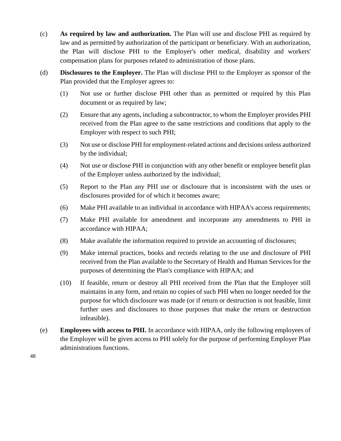- (c) **As required by law and authorization.** The Plan will use and disclose PHI as required by law and as permitted by authorization of the participant or beneficiary. With an authorization, the Plan will disclose PHI to the Employer's other medical, disability and workers' compensation plans for purposes related to administration of those plans.
- (d) **Disclosures to the Employer.** The Plan will disclose PHI to the Employer as sponsor of the Plan provided that the Employer agrees to:
	- (1) Not use or further disclose PHI other than as permitted or required by this Plan document or as required by law;
	- (2) Ensure that any agents, including a subcontractor, to whom the Employer provides PHI received from the Plan agree to the same restrictions and conditions that apply to the Employer with respect to such PHI;
	- (3) Not use or disclose PHI for employment-related actions and decisions unless authorized by the individual;
	- (4) Not use or disclose PHI in conjunction with any other benefit or employee benefit plan of the Employer unless authorized by the individual;
	- (5) Report to the Plan any PHI use or disclosure that is inconsistent with the uses or disclosures provided for of which it becomes aware;
	- (6) Make PHI available to an individual in accordance with HIPAA's access requirements;
	- (7) Make PHI available for amendment and incorporate any amendments to PHI in accordance with HIPAA;
	- (8) Make available the information required to provide an accounting of disclosures;
	- (9) Make internal practices, books and records relating to the use and disclosure of PHI received from the Plan available to the Secretary of Health and Human Services for the purposes of determining the Plan's compliance with HIPAA; and
	- (10) If feasible, return or destroy all PHI received from the Plan that the Employer still maintains in any form, and retain no copies of such PHI when no longer needed for the purpose for which disclosure was made (or if return or destruction is not feasible, limit further uses and disclosures to those purposes that make the return or destruction infeasible).
- (e) **Employees with access to PHI.** In accordance with HIPAA, only the following employees of the Employer will be given access to PHI solely for the purpose of performing Employer Plan administrations functions.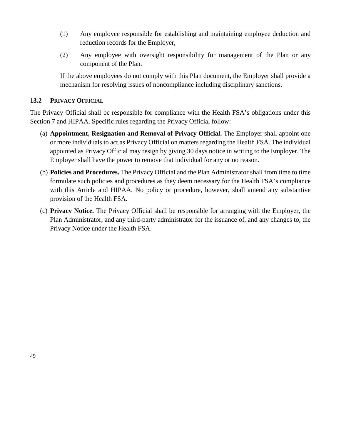- (1) Any employee responsible for establishing and maintaining employee deduction and reduction records for the Employer,
- (2) Any employee with oversight responsibility for management of the Plan or any component of the Plan.

If the above employees do not comply with this Plan document, the Employer shall provide a mechanism for resolving issues of noncompliance including disciplinary sanctions.

#### <span id="page-49-0"></span>**13.2 PRIVACY OFFICIAL**

The Privacy Official shall be responsible for compliance with the Health FSA's obligations under this Section 7 and HIPAA. Specific rules regarding the Privacy Official follow:

- (a) **Appointment, Resignation and Removal of Privacy Official.** The Employer shall appoint one or more individuals to act as Privacy Official on matters regarding the Health FSA. The individual appointed as Privacy Official may resign by giving 30 days notice in writing to the Employer. The Employer shall have the power to remove that individual for any or no reason.
- (b) **Policies and Procedures.** The Privacy Official and the Plan Administrator shall from time to time formulate such policies and procedures as they deem necessary for the Health FSA's compliance with this Article and HIPAA. No policy or procedure, however, shall amend any substantive provision of the Health FSA.
- (c) **Privacy Notice.** The Privacy Official shall be responsible for arranging with the Employer, the Plan Administrator, and any third-party administrator for the issuance of, and any changes to, the Privacy Notice under the Health FSA.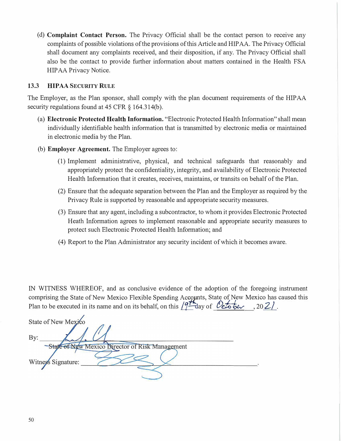(d) **Complaint Contact Person.** The Privacy Official shall be the contact person to receive any complaints of possible violations of the provisions of this Article and HIP AA. The Privacy Official shall document any complaints received, and their disposition, if any. The Privacy Official shall also be the contact to provide further infonnation about matters contained in the Health FSA HIP AA Privacy Notice.

#### **13.3 HIPAA SECURITY RULE**

The Employer, as the Plan sponsor, shall comply with the plan document requirements of the HIP AA security regulations found at 45 CFR § 164.314(b).

- (a) **Electronic Protected Health Information.** "Electronic Protected Health Infonnation" shall mean individually identifiable health infonnation that is transmitted by electronic media or maintained in electronic media by the Plan.
- (b) **Employer Agreement.** The Employer agrees to:
	- (1) Implement administrative, physical, and technical safeguards that reasonably and appropriately protect the confidentiality, integrity, and availability of Electronic Protected Health Infonnation that it creates, receives, maintains, or transits on behalf of the Plan.
	- (2) Ensure that the adequate separation between the Plan and the Employer as required by the Privacy Rule is supported by reasonable and appropriate security measures.
	- (3) Ensure that any agent, including a subcontractor, to whom it provides Electronic Protected Heath Information agrees to implement reasonable and appropriate security measures to protect such Electronic Protected Health Information; and
	- (4) Report to the Plan Administrator any security incident of which it becomes aware.

IN WITNESS WHEREOF, and as conclusive evidence of the adoption of the foregoing instrument comprising the State of New Mexico Flexible Spending Accounts, State of New Mexico has caused this Plan to be executed in its name and on its behalf, on this  $\sqrt{9}$ -day of *October*, 20 2.

State of New Mexico By: State of New Mexico Director of Risk Management Witness Signature: